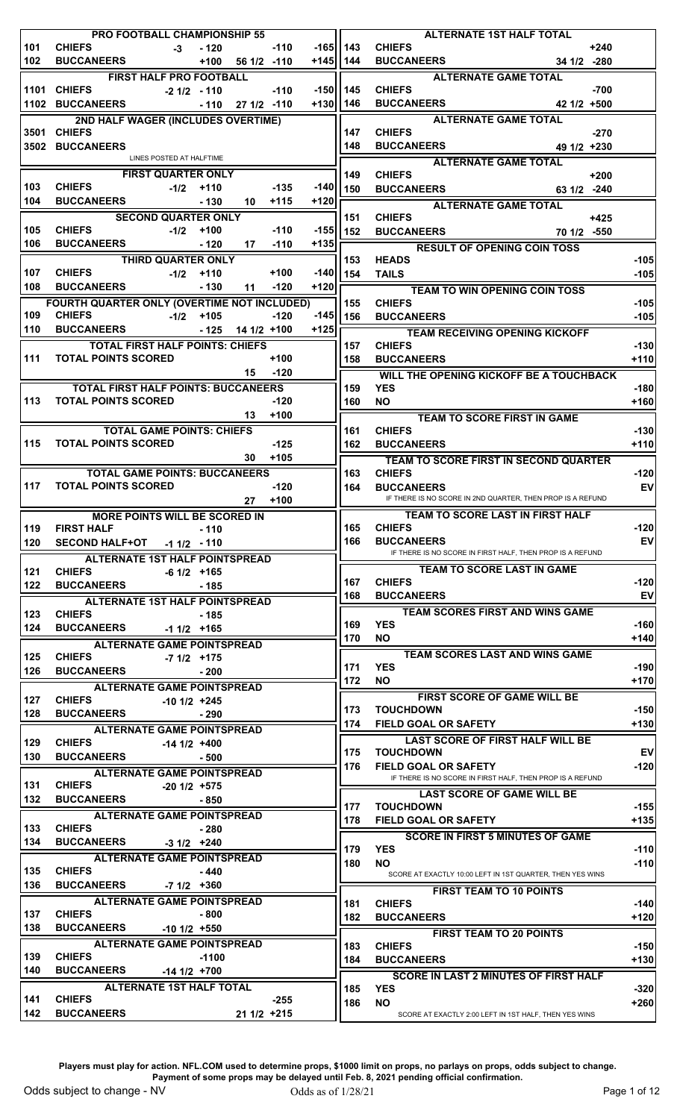|     |                            | <b>PRO FOOTBALL CHAMPIONSHIP 55</b>         |                    |        |              |                | <b>ALTERNATE 1ST HALF TOTAL</b>                            |                  |
|-----|----------------------------|---------------------------------------------|--------------------|--------|--------------|----------------|------------------------------------------------------------|------------------|
| 101 | <b>CHIEFS</b>              | $-3 - 120$                                  |                    | $-110$ |              | $-165$    143  | <b>CHIEFS</b><br>$+240$                                    |                  |
| 102 | <b>BUCCANEERS</b>          |                                             | $+100$ 56 1/2 -110 |        |              | +145  144      | BUCCANEERS 34 1/2 -280                                     |                  |
|     |                            | <b>FIRST HALF PRO FOOTBALL</b>              |                    |        |              |                | <b>ALTERNATE GAME TOTAL</b>                                |                  |
|     | 1101 CHIEFS                | $-2$ 1/2 $-$ 110                            |                    | $-110$ | -150  145    |                | <b>CHIEFS</b><br>$-700$                                    |                  |
|     |                            | 1102 BUCCANEERS - 110 27 1/2 -110           |                    |        | $+130$   146 |                | <b>BUCCANEERS</b><br>$421/2$ +500                          |                  |
|     |                            | 2ND HALF WAGER (INCLUDES OVERTIME)          |                    |        |              |                | <b>ALTERNATE GAME TOTAL</b>                                |                  |
|     | 3501 CHIEFS                |                                             |                    |        |              | 147            | <b>CHIEFS</b><br>$-270$                                    |                  |
|     | 3502 BUCCANEERS            | LINES POSTED AT HALFTIME                    |                    |        |              | 148            | <b>BUCCANEERS EXAMPLE</b><br>49 1/2 +230                   |                  |
|     |                            |                                             |                    |        |              |                | <b>ALTERNATE GAME TOTAL</b>                                |                  |
|     | <b>CHIEFS</b>              | <b>FIRST QUARTER ONLY</b>                   |                    |        |              | 149            | <b>CHIEFS</b><br>$+200$                                    |                  |
| 103 | <b>BUCCANEERS</b>          | $-1/2$ +110                                 |                    | $-135$ |              | $-140$   150   | BUCCANEERS 63 1/2 -240                                     |                  |
| 104 |                            | $-130$                                      | 10                 | $+115$ | $+120$       |                | ALTERNATE GAME TOTAL                                       |                  |
|     |                            | <b>SECOND QUARTER ONLY</b>                  |                    |        |              | 151            | <b>CHIEFS</b><br>$+425$                                    |                  |
| 105 | <b>BUCCANEERS</b>          | CHIEFS -1/2 +100                            |                    | $-110$ |              | $-155$     152 | BUCCANEERS 70 1/2 -550                                     |                  |
| 106 |                            | $-120$                                      | 17                 | $-110$ | +135  己      |                | RESULT OF OPENING COIN TOSS                                |                  |
|     |                            | THIRD QUARTER ONLY                          |                    |        |              | 153            | <b>HEADS</b>                                               | $-105$           |
| 107 | <b>CHIEFS</b>              | $-1/2$ +110                                 |                    | $+100$ |              | $-140$   154   | <b>TAILS</b>                                               | $-105$           |
| 108 | <b>BUCCANEERS</b>          | $-130$                                      | 11                 | $-120$ | $+120$       |                | <b>TEAM TO WIN OPENING COIN TOSS</b>                       |                  |
|     |                            | FOURTH QUARTER ONLY (OVERTIME NOT INCLUDED) |                    |        |              | 155            | <b>CHIEFS</b>                                              | $-105$           |
| 109 | <b>CHIEFS</b>              | $-1/2$ +105                                 |                    | $-120$ |              | $-145$   156   | <b>BUCCANEERS</b>                                          | $-105$           |
|     | 110 BUCCANEERS             |                                             | $-125$ 14 1/2 +100 |        | $+125$       |                | <b>TEAM RECEIVING OPENING KICKOFF</b>                      |                  |
|     |                            | <b>TOTAL FIRST HALF POINTS: CHIEFS</b>      |                    |        |              | 157            | <b>CHIEFS</b>                                              | $-130$           |
|     | 111 TOTAL POINTS SCORED    |                                             |                    | $+100$ |              | 158            | <b>BUCCANEERS</b>                                          | $+110$           |
|     |                            |                                             | 15 -120            |        |              |                | <b>WILL THE OPENING KICKOFF BE A TOUCHBACK</b>             |                  |
|     |                            | <b>TOTAL FIRST HALF POINTS: BUCCANEERS</b>  |                    |        |              | 159            | <b>YES</b>                                                 | $-180$           |
|     | 113 TOTAL POINTS SCORED    |                                             |                    | $-120$ |              | 160            | <b>NO</b>                                                  | $+160$           |
|     |                            |                                             | 13                 | $+100$ |              |                | TEAM TO SCORE FIRST IN GAME                                |                  |
|     |                            | <b>TOTAL GAME POINTS: CHIEFS</b>            |                    |        |              | 161            | <b>CHIEFS</b>                                              | $-130$           |
| 115 | <b>TOTAL POINTS SCORED</b> |                                             |                    | $-125$ |              | 162            | <b>BUCCANEERS</b>                                          | $+110$           |
|     |                            |                                             | 30 <sub>o</sub>    | $+105$ |              |                | TEAM TO SCORE FIRST IN SECOND QUARTER                      |                  |
|     |                            | <b>TOTAL GAME POINTS: BUCCANEERS</b>        |                    |        |              | 163            | <b>CHIEFS</b>                                              | $-120$           |
| 117 | <b>TOTAL POINTS SCORED</b> |                                             |                    | $-120$ |              | 164            | <b>BUCCANEERS</b>                                          | <b>EV</b>        |
|     |                            |                                             | 27                 | $+100$ |              |                | IF THERE IS NO SCORE IN 2ND QUARTER, THEN PROP IS A REFUND |                  |
|     |                            | <b>MORE POINTS WILL BE SCORED IN</b>        |                    |        |              |                | TEAM TO SCORE LAST IN FIRST HALF                           |                  |
|     | 119 FIRST HALF             | $-110$                                      |                    |        |              | 165            | <b>CHIEFS</b>                                              | $-120$           |
| 120 |                            | SECOND HALF+OT -1 1/2 - 110                 |                    |        |              | 166            | <b>BUCCANEERS</b>                                          | <b>EV</b>        |
|     |                            | <b>ALTERNATE 1ST HALF POINTSPREAD</b>       |                    |        |              |                | IF THERE IS NO SCORE IN FIRST HALF, THEN PROP IS A REFUND  |                  |
| 121 | <b>CHIEFS</b>              | $-6$ 1/2 $+165$                             |                    |        |              |                | TEAM TO SCORE LAST IN GAME                                 |                  |
| 122 | <b>BUCCANEERS</b>          | - 185                                       |                    |        |              | 167            | <b>CHIEFS</b>                                              | $-120$           |
|     |                            | <b>ALTERNATE 1ST HALF POINTSPREAD</b>       |                    |        |              | 168            | <b>BUCCANEERS</b>                                          | <b>EV</b>        |
| 123 | <b>CHIEFS</b>              | - 185                                       |                    |        |              |                | <b>TEAM SCORES FIRST AND WINS GAME</b>                     |                  |
| 124 | BUCCANEERS -1 1/2 +165     |                                             |                    |        |              | 169            | <b>YES</b>                                                 | $-160$           |
|     |                            | <b>ALTERNATE GAME POINTSPREAD</b>           |                    |        |              | 170            | <b>NO</b>                                                  | $+140$           |
| 125 | <b>CHIEFS</b>              | $-7$ 1/2 $+175$                             |                    |        |              |                | TEAM SCORES LAST AND WINS GAME                             |                  |
| 126 | <b>BUCCANEERS</b>          | $-200$                                      |                    |        |              | 171            | <b>YES</b>                                                 | $-190$           |
|     |                            | <b>ALTERNATE GAME POINTSPREAD</b>           |                    |        |              | 172            | NO.                                                        | $+170$           |
| 127 | <b>CHIEFS</b>              | $-101/2$ +245                               |                    |        |              |                | FIRST SCORE OF GAME WILL BE                                |                  |
| 128 | <b>BUCCANEERS</b>          | $-290$                                      |                    |        |              | 173            | <b>TOUCHDOWN</b>                                           | $-150$           |
|     |                            | <b>ALTERNATE GAME POINTSPREAD</b>           |                    |        |              | 174            | <b>FIELD GOAL OR SAFETY</b>                                | $+130$           |
| 129 | <b>CHIEFS</b>              | $-141/2$ +400                               |                    |        |              |                | <b>LAST SCORE OF FIRST HALF WILL BE</b>                    |                  |
| 130 | <b>BUCCANEERS</b>          | - 500                                       |                    |        |              | 175            | <b>TOUCHDOWN</b>                                           | <b>EV</b>        |
|     |                            | <b>ALTERNATE GAME POINTSPREAD</b>           |                    |        |              | 176            | <b>FIELD GOAL OR SAFETY</b>                                | $-120$           |
| 131 | <b>CHIEFS</b>              | $-201/2$ +575                               |                    |        |              |                | IF THERE IS NO SCORE IN FIRST HALF, THEN PROP IS A REFUND  |                  |
| 132 | <b>BUCCANEERS</b>          | - 850                                       |                    |        |              |                | <b>LAST SCORE OF GAME WILL BE</b>                          |                  |
|     |                            | <b>ALTERNATE GAME POINTSPREAD</b>           |                    |        |              | 177            | <b>TOUCHDOWN</b>                                           | $-155$           |
| 133 | <b>CHIEFS</b>              | $-280$                                      |                    |        |              | 178            | <b>FIELD GOAL OR SAFETY</b>                                | $+135$           |
| 134 | BUCCANEERS -3 1/2 +240     |                                             |                    |        |              |                | <b>SCORE IN FIRST 5 MINUTES OF GAME</b>                    |                  |
|     |                            | <b>ALTERNATE GAME POINTSPREAD</b>           |                    |        |              | 179<br>180     | <b>YES</b><br><b>NO</b>                                    | $-110$<br>$-110$ |
| 135 | <b>CHIEFS</b>              | - 440                                       |                    |        |              |                | SCORE AT EXACTLY 10:00 LEFT IN 1ST QUARTER, THEN YES WINS  |                  |
| 136 | BUCCANEERS -7 1/2 +360     |                                             |                    |        |              |                | <b>FIRST TEAM TO 10 POINTS</b>                             |                  |
|     |                            | <b>ALTERNATE GAME POINTSPREAD</b>           |                    |        |              | 181            | <b>CHIEFS</b>                                              | $-140$           |
| 137 | <b>CHIEFS</b>              | - 800                                       |                    |        |              | 182            | <b>BUCCANEERS</b>                                          | $+120$           |
| 138 |                            |                                             |                    |        |              |                | <b>FIRST TEAM TO 20 POINTS</b>                             |                  |
|     |                            | <b>BUCCANEERS</b> -10 1/2 +550              |                    |        |              |                |                                                            |                  |
|     |                            | <b>ALTERNATE GAME POINTSPREAD</b>           |                    |        |              |                |                                                            |                  |
| 139 | <b>CHIEFS</b>              | -1100                                       |                    |        |              | 183            | <b>CHIEFS</b>                                              | $-150$           |
| 140 |                            | BUCCANEERS -14 1/2 +700                     |                    |        |              | 184            | <b>BUCCANEERS</b>                                          | $+130$           |
|     |                            |                                             |                    |        |              |                | <b>SCORE IN LAST 2 MINUTES OF FIRST HALF</b>               |                  |
| 141 | <b>CHIEFS</b>              | <b>ALTERNATE 1ST HALF TOTAL</b>             |                    | $-255$ |              | 185<br>186     | <b>YES</b><br><b>NO</b>                                    | $-320$<br>$+260$ |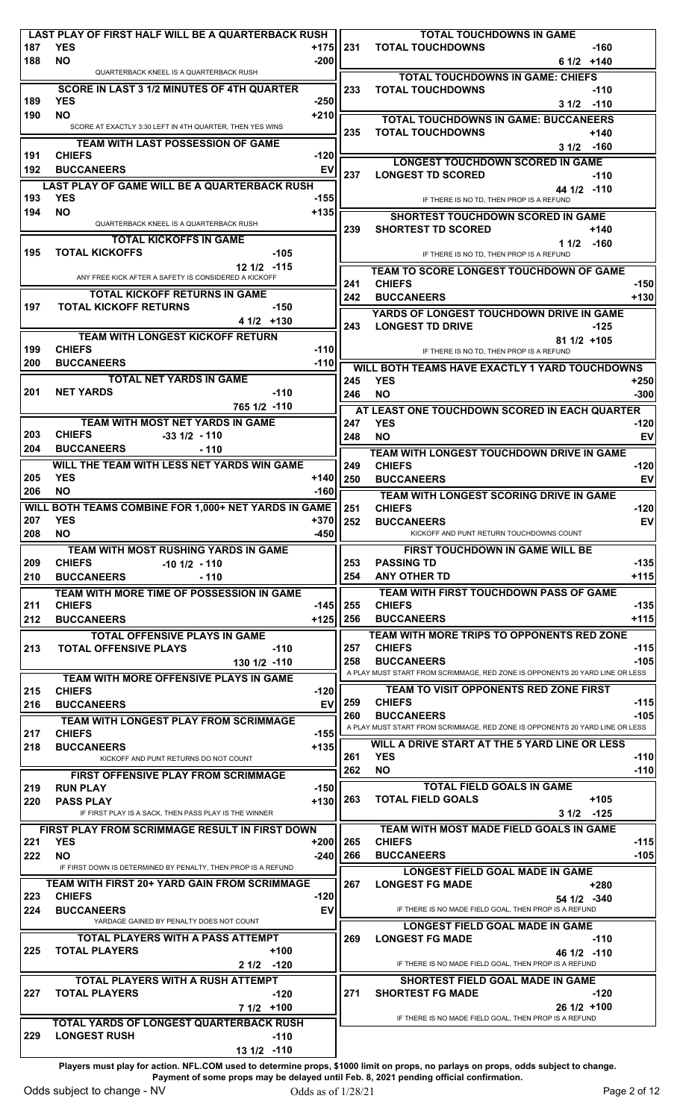|            | LAST PLAY OF FIRST HALF WILL BE A QUARTERBACK RUSH                       |                  |                    | <b>TOTAL TOUCHDOWNS IN GAME</b>                                                                   |                  |
|------------|--------------------------------------------------------------------------|------------------|--------------------|---------------------------------------------------------------------------------------------------|------------------|
| 187<br>188 | <b>YES</b><br><b>NO</b>                                                  | $+175$<br>$-200$ | 231                | <b>TOTAL TOUCHDOWNS</b><br>$-160$<br>$61/2$ +140                                                  |                  |
|            | QUARTERBACK KNEEL IS A QUARTERBACK RUSH                                  |                  |                    | <b>TOTAL TOUCHDOWNS IN GAME: CHIEFS</b>                                                           |                  |
|            | SCORE IN LAST 3 1/2 MINUTES OF 4TH QUARTER                               |                  | 233                | <b>TOTAL TOUCHDOWNS</b><br>$-110$                                                                 |                  |
| 189        | <b>YES</b>                                                               | $-250$           |                    | $31/2$ -110                                                                                       |                  |
| 190        | <b>NO</b>                                                                | $+210$           |                    | <b>TOTAL TOUCHDOWNS IN GAME: BUCCANEERS</b>                                                       |                  |
|            | SCORE AT EXACTLY 3:30 LEFT IN 4TH QUARTER, THEN YES WINS                 |                  | 235                | <b>TOTAL TOUCHDOWNS</b><br>$+140$                                                                 |                  |
|            | <b>TEAM WITH LAST POSSESSION OF GAME</b>                                 |                  |                    | $31/2$ -160                                                                                       |                  |
| 191        | <b>CHIEFS</b><br><b>BUCCANEERS</b>                                       | $-120$           |                    | <b>LONGEST TOUCHDOWN SCORED IN GAME</b>                                                           |                  |
| 192        |                                                                          | EV               | 237                | <b>LONGEST TD SCORED</b><br>$-110$                                                                |                  |
| 193        | LAST PLAY OF GAME WILL BE A QUARTERBACK RUSH<br><b>YES</b>               | $-155$           |                    | 44 1/2 -110<br>IF THERE IS NO TD, THEN PROP IS A REFUND                                           |                  |
| 194        | <b>NO</b>                                                                | $+135$           |                    |                                                                                                   |                  |
|            | QUARTERBACK KNEEL IS A QUARTERBACK RUSH                                  |                  | 239                | <b>SHORTEST TOUCHDOWN SCORED IN GAME</b><br><b>SHORTEST TD SCORED</b><br>$+140$                   |                  |
|            | <b>TOTAL KICKOFFS IN GAME</b>                                            |                  |                    | $11/2$ -160                                                                                       |                  |
| 195        | <b>TOTAL KICKOFFS</b><br>-105                                            |                  |                    | IF THERE IS NO TD, THEN PROP IS A REFUND                                                          |                  |
|            | 12 1/2 -115<br>ANY FREE KICK AFTER A SAFETY IS CONSIDERED A KICKOFF      |                  |                    | <b>TEAM TO SCORE LONGEST TOUCHDOWN OF GAME</b>                                                    |                  |
|            | <b>TOTAL KICKOFF RETURNS IN GAME</b>                                     |                  | 241                | <b>CHIEFS</b>                                                                                     | $-150$           |
| 197        | <b>TOTAL KICKOFF RETURNS</b><br>$-150$                                   |                  | 242                | <b>BUCCANEERS</b>                                                                                 | $+130$           |
|            | $41/2$ +130                                                              |                  |                    | YARDS OF LONGEST TOUCHDOWN DRIVE IN GAME                                                          |                  |
|            | <b>TEAM WITH LONGEST KICKOFF RETURN</b>                                  |                  | 243                | <b>LONGEST TD DRIVE</b><br>$-125$                                                                 |                  |
| 199        | <b>CHIEFS</b>                                                            | $-110$           |                    | 81 1/2 +105<br>IF THERE IS NO TD, THEN PROP IS A REFUND                                           |                  |
| 200        | <b>BUCCANEERS</b>                                                        | $-110$           |                    | WILL BOTH TEAMS HAVE EXACTLY 1 YARD TOUCHDOWNS                                                    |                  |
|            | <b>TOTAL NET YARDS IN GAME</b>                                           |                  | 245                | <b>YES</b>                                                                                        | $+250$           |
| 201        | <b>NET YARDS</b><br>$-110$                                               |                  | 246                | <b>NO</b>                                                                                         | $-300$           |
|            | 765 1/2 -110                                                             |                  |                    | AT LEAST ONE TOUCHDOWN SCORED IN EACH QUARTER                                                     |                  |
|            | TEAM WITH MOST NET YARDS IN GAME                                         |                  | 247                | <b>YES</b>                                                                                        | $-120$           |
| 203<br>204 | <b>CHIEFS</b><br>$-33$ $1/2$ - 110<br><b>BUCCANEERS</b><br>$-110$        |                  | 248                | <b>NO</b>                                                                                         | EV               |
|            | WILL THE TEAM WITH LESS NET YARDS WIN GAME                               |                  |                    | TEAM WITH LONGEST TOUCHDOWN DRIVE IN GAME                                                         |                  |
| 205        | <b>YES</b>                                                               | +140             | 249<br>250         | <b>CHIEFS</b><br><b>BUCCANEERS</b>                                                                | $-120$<br>EV     |
| 206        | <b>NO</b>                                                                | $-160$           |                    | TEAM WITH LONGEST SCORING DRIVE IN GAME                                                           |                  |
|            | WILL BOTH TEAMS COMBINE FOR 1,000+ NET YARDS IN GAME                     |                  | 251                | <b>CHIEFS</b>                                                                                     | $-120$           |
| 207        | <b>YES</b>                                                               | $+370$           | 252                | <b>BUCCANEERS</b>                                                                                 | <b>EV</b>        |
| 208        | <b>NO</b>                                                                | -450             |                    | KICKOFF AND PUNT RETURN TOUCHDOWNS COUNT                                                          |                  |
|            |                                                                          |                  |                    |                                                                                                   |                  |
|            | TEAM WITH MOST RUSHING YARDS IN GAME                                     |                  |                    | <b>FIRST TOUCHDOWN IN GAME WILL BE</b>                                                            |                  |
| 209        | <b>CHIEFS</b><br>$-10$ 1/2 $-110$                                        |                  | 253                | <b>PASSING TD</b>                                                                                 | $-135$           |
| 210        | <b>BUCCANEERS</b><br>- 110                                               |                  | 254                | <b>ANY OTHER TD</b>                                                                               | $+115$           |
|            | TEAM WITH MORE TIME OF POSSESSION IN GAME                                |                  |                    | TEAM WITH FIRST TOUCHDOWN PASS OF GAME                                                            |                  |
| 211<br>212 | <b>CHIEFS</b><br><b>BUCCANEERS</b>                                       | $-145$<br>$+125$ | <b>1255</b><br>256 | <b>CHIEFS</b><br><b>BUCCANEERS</b>                                                                | $-135$<br>$+115$ |
|            | <b>TOTAL OFFENSIVE PLAYS IN GAME</b>                                     |                  |                    | TEAM WITH MORE TRIPS TO OPPONENTS RED ZONE                                                        |                  |
| 213        | <b>TOTAL OFFENSIVE PLAYS</b><br>$-110$                                   |                  | 257                | <b>CHIEFS</b>                                                                                     | $-115$           |
|            | 130 1/2 -110                                                             |                  | 258                | <b>BUCCANEERS</b>                                                                                 | $-105$           |
|            | TEAM WITH MORE OFFENSIVE PLAYS IN GAME                                   |                  |                    | A PLAY MUST START FROM SCRIMMAGE, RED ZONE IS OPPONENTS 20 YARD LINE OR LESS                      |                  |
| 215        | <b>CHIEFS</b>                                                            | -120             |                    | <b>TEAM TO VISIT OPPONENTS RED ZONE FIRST</b>                                                     |                  |
| 216        | <b>BUCCANEERS</b>                                                        | EV               | 259                | <b>CHIEFS</b>                                                                                     | $-115$           |
|            | TEAM WITH LONGEST PLAY FROM SCRIMMAGE                                    |                  | 260                | <b>BUCCANEERS</b><br>A PLAY MUST START FROM SCRIMMAGE, RED ZONE IS OPPONENTS 20 YARD LINE OR LESS | $-105$           |
| 217<br>218 | <b>CHIEFS</b><br><b>BUCCANEERS</b>                                       | $-155$<br>$+135$ |                    | WILL A DRIVE START AT THE 5 YARD LINE OR LESS                                                     |                  |
|            | KICKOFF AND PUNT RETURNS DO NOT COUNT                                    |                  | 261                | <b>YES</b>                                                                                        | $-110$           |
|            | <b>FIRST OFFENSIVE PLAY FROM SCRIMMAGE</b>                               |                  | 262                | <b>NO</b>                                                                                         | $-110$           |
| 219        | <b>RUN PLAY</b>                                                          | $-150$           |                    | <b>TOTAL FIELD GOALS IN GAME</b>                                                                  |                  |
| 220        | <b>PASS PLAY</b>                                                         | $+130$           | 263                | <b>TOTAL FIELD GOALS</b><br>$+105$                                                                |                  |
|            | IF FIRST PLAY IS A SACK, THEN PASS PLAY IS THE WINNER                    |                  |                    | $-125$<br>31/2                                                                                    |                  |
|            | FIRST PLAY FROM SCRIMMAGE RESULT IN FIRST DOWN                           |                  |                    | TEAM WITH MOST MADE FIELD GOALS IN GAME                                                           |                  |
| 221<br>222 | <b>YES</b><br>NO.                                                        | $+200$<br>$-240$ | 265<br>266         | <b>CHIEFS</b><br><b>BUCCANEERS</b>                                                                | $-115$<br>$-105$ |
|            | IF FIRST DOWN IS DETERMINED BY PENALTY, THEN PROP IS A REFUND            |                  |                    | <b>LONGEST FIELD GOAL MADE IN GAME</b>                                                            |                  |
|            | TEAM WITH FIRST 20+ YARD GAIN FROM SCRIMMAGE                             |                  | 267                | <b>LONGEST FG MADE</b><br>+280                                                                    |                  |
| 223        | <b>CHIEFS</b>                                                            | $-120$           |                    | 54 1/2 -340                                                                                       |                  |
| 224        | <b>BUCCANEERS</b>                                                        | EV               |                    | IF THERE IS NO MADE FIELD GOAL, THEN PROP IS A REFUND                                             |                  |
|            | YARDAGE GAINED BY PENALTY DOES NOT COUNT                                 |                  |                    | <b>LONGEST FIELD GOAL MADE IN GAME</b>                                                            |                  |
|            | <b>TOTAL PLAYERS WITH A PASS ATTEMPT</b>                                 |                  | 269                | <b>LONGEST FG MADE</b><br>$-110$                                                                  |                  |
| 225        | <b>TOTAL PLAYERS</b><br>$+100$                                           |                  |                    | 46 1/2 -110<br>IF THERE IS NO MADE FIELD GOAL, THEN PROP IS A REFUND                              |                  |
|            | $21/2$ -120                                                              |                  |                    |                                                                                                   |                  |
| 227        | <b>TOTAL PLAYERS WITH A RUSH ATTEMPT</b><br><b>TOTAL PLAYERS</b><br>-120 |                  | 271                | <b>SHORTEST FIELD GOAL MADE IN GAME</b><br><b>SHORTEST FG MADE</b><br>$-120$                      |                  |
|            | $71/2$ +100                                                              |                  |                    | 26 1/2 +100                                                                                       |                  |
|            | TOTAL YARDS OF LONGEST QUARTERBACK RUSH                                  |                  |                    | IF THERE IS NO MADE FIELD GOAL, THEN PROP IS A REFUND                                             |                  |
| 229        | <b>LONGEST RUSH</b><br>$-110$<br>13 1/2 -110                             |                  |                    |                                                                                                   |                  |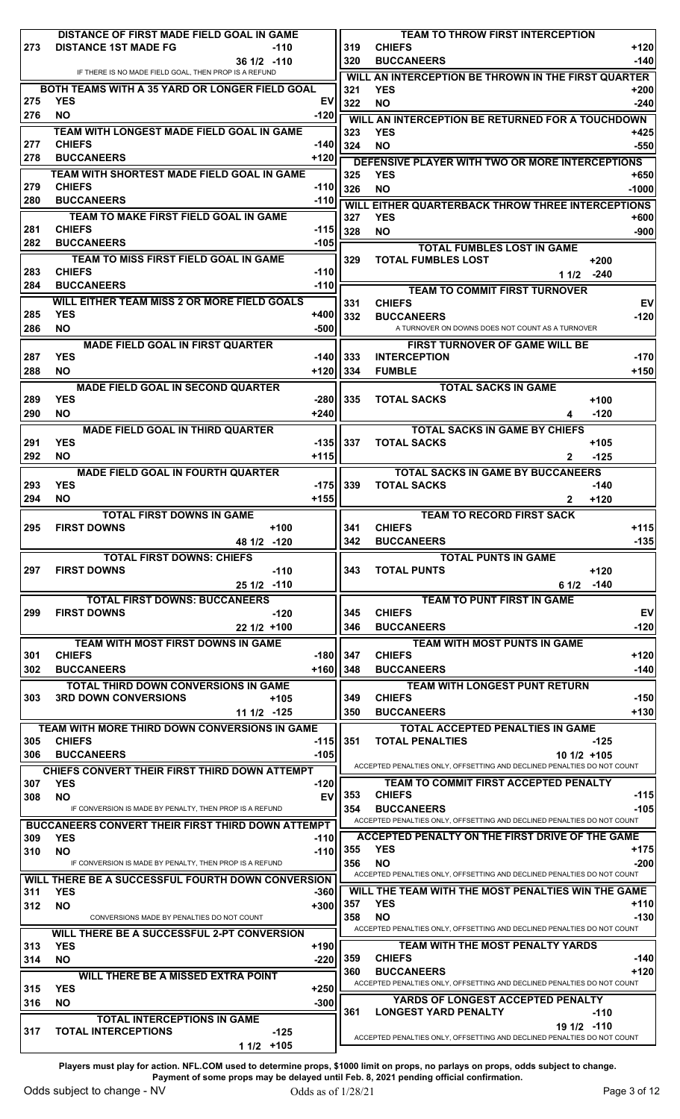|            | DISTANCE OF FIRST MADE FIELD GOAL IN GAME                                            |        |            | <b>TEAM TO THROW FIRST INTERCEPTION</b>                                                |                  |
|------------|--------------------------------------------------------------------------------------|--------|------------|----------------------------------------------------------------------------------------|------------------|
| 273        | <b>DISTANCE 1ST MADE FG</b><br>-110                                                  |        | 319        | <b>CHIEFS</b>                                                                          | $+120$           |
|            | $361/2$ -110<br>IF THERE IS NO MADE FIELD GOAL, THEN PROP IS A REFUND                |        | 320        | <b>BUCCANEERS</b>                                                                      | -140             |
|            | BOTH TEAMS WITH A 35 YARD OR LONGER FIELD GOAL                                       |        | WILL       | AN INTERCEPTION BE THROWN IN THE FIRST QUARTER                                         |                  |
| 275        | <b>YES</b>                                                                           | EV     | 321<br>322 | <b>YES</b><br><b>NO</b>                                                                | +200<br>$-240$   |
| 276        | <b>NO</b>                                                                            | -120   |            |                                                                                        |                  |
|            | TEAM WITH LONGEST MADE FIELD GOAL IN GAME                                            |        | 323        | WILL AN INTERCEPTION BE RETURNED FOR A TOUCHDOWN<br><b>YES</b>                         | +425             |
| 277        | <b>CHIEFS</b>                                                                        | -140   | 324        | <b>NO</b>                                                                              | $-550$           |
| 278        | <b>BUCCANEERS</b>                                                                    | +120   |            | DEFENSIVE PLAYER WITH TWO OR MORE INTERCEPTIONS                                        |                  |
|            | TEAM WITH SHORTEST MADE FIELD GOAL IN GAME                                           |        | 325        | <b>YES</b>                                                                             | +650             |
| 279        | <b>CHIEFS</b>                                                                        | -110   | 326        | <b>NO</b>                                                                              | $-1000$          |
| 280        | <b>BUCCANEERS</b>                                                                    | $-110$ |            | WILL EITHER QUARTERBACK THROW THREE INTERCEPTIONS                                      |                  |
|            | TEAM TO MAKE FIRST FIELD GOAL IN GAME                                                |        | 327        | <b>YES</b>                                                                             | +600             |
| 281        | <b>CHIEFS</b>                                                                        | $-115$ | 328        | <b>NO</b>                                                                              | $-900$           |
| 282        | <b>BUCCANEERS</b>                                                                    | $-105$ |            | <b>TOTAL FUMBLES LOST IN GAME</b>                                                      |                  |
|            | TEAM TO MISS FIRST FIELD GOAL IN GAME                                                |        | 329        | <b>TOTAL FUMBLES LOST</b><br>$+200$                                                    |                  |
| 283        | <b>CHIEFS</b>                                                                        | $-110$ |            | -240<br>1 1/2                                                                          |                  |
| 284        | <b>BUCCANEERS</b>                                                                    | $-110$ |            | <b>TEAM TO COMMIT FIRST TURNOVER</b>                                                   |                  |
|            | WILL EITHER TEAM MISS 2 OR MORE FIELD GOALS                                          |        | 331        | <b>CHIEFS</b>                                                                          | EV               |
| 285        | <b>YES</b>                                                                           | +400   | 332        | <b>BUCCANEERS</b>                                                                      | $-120$           |
| 286        | <b>NO</b>                                                                            | $-500$ |            | A TURNOVER ON DOWNS DOES NOT COUNT AS A TURNOVER                                       |                  |
|            | <b>MADE FIELD GOAL IN FIRST QUARTER</b>                                              |        |            | FIRST TURNOVER OF GAME WILL BE                                                         |                  |
| 287        | <b>YES</b>                                                                           | -140   | 333        | <b>INTERCEPTION</b>                                                                    | $-170$           |
| 288        | <b>NO</b>                                                                            | $+120$ | 334        | <b>FUMBLE</b>                                                                          | $+150$           |
|            | <b>MADE FIELD GOAL IN SECOND QUARTER</b>                                             |        |            | <b>TOTAL SACKS IN GAME</b>                                                             |                  |
| 289        | <b>YES</b>                                                                           | -2801  | 335        | <b>TOTAL SACKS</b><br>$+100$                                                           |                  |
| 290        | <b>NO</b>                                                                            | $+240$ |            | $-120$<br>4                                                                            |                  |
|            | <b>MADE FIELD GOAL IN THIRD QUARTER</b>                                              |        |            | <b>TOTAL SACKS IN GAME BY CHIEFS</b>                                                   |                  |
| 291        | <b>YES</b>                                                                           | -1351  | 337        | <b>TOTAL SACKS</b><br>$+105$                                                           |                  |
| 292        | <b>NO</b>                                                                            | $+115$ |            | $-125$<br>$\mathbf{2}$                                                                 |                  |
|            | <b>MADE FIELD GOAL IN FOURTH QUARTER</b>                                             |        |            | <b>TOTAL SACKS IN GAME BY BUCCANEERS</b>                                               |                  |
| 293        | <b>YES</b>                                                                           | -1751  | 339        | <b>TOTAL SACKS</b><br>-140                                                             |                  |
| 294        | NO.                                                                                  | $+155$ |            | $+120$<br>$\mathbf{2}$                                                                 |                  |
|            | <b>TOTAL FIRST DOWNS IN GAME</b>                                                     |        |            | <b>TEAM TO RECORD FIRST SACK</b>                                                       |                  |
| 295        | <b>FIRST DOWNS</b><br>$+100$                                                         |        | 341        | <b>CHIEFS</b>                                                                          | +115             |
|            | 48 1/2 -120                                                                          |        | 342        | <b>BUCCANEERS</b>                                                                      | $-135$           |
|            | <b>TOTAL FIRST DOWNS: CHIEFS</b><br><b>FIRST DOWNS</b><br>$-110$                     |        | 343        | <b>TOTAL PUNTS IN GAME</b><br><b>TOTAL PUNTS</b><br>$+120$                             |                  |
| 297        |                                                                                      |        |            |                                                                                        |                  |
|            |                                                                                      |        |            |                                                                                        |                  |
|            | $251/2$ -110                                                                         |        |            | 61/2<br>$-140$                                                                         |                  |
|            | <b>TOTAL FIRST DOWNS: BUCCANEERS</b>                                                 |        |            | <b>TEAM TO PUNT FIRST IN GAME</b>                                                      |                  |
| 299        | <b>FIRST DOWNS</b><br>$-120$                                                         |        | 345        | <b>CHIEFS</b>                                                                          | EV               |
|            | $221/2$ +100                                                                         |        | 346        | <b>BUCCANEERS</b>                                                                      | $-120$           |
|            | TEAM WITH MOST FIRST DOWNS IN GAME<br><b>CHIEFS</b>                                  | -180   | 347        | TEAM WITH MOST PUNTS IN GAME<br><b>CHIEFS</b>                                          | +120             |
| 301<br>302 | <b>BUCCANEERS</b>                                                                    | $+160$ | 348        | <b>BUCCANEERS</b>                                                                      | $-140$           |
|            |                                                                                      |        |            |                                                                                        |                  |
| 303        | <b>TOTAL THIRD DOWN CONVERSIONS IN GAME</b><br><b>3RD DOWN CONVERSIONS</b><br>$+105$ |        | 349        | <b>TEAM WITH LONGEST PUNT RETURN</b><br><b>CHIEFS</b>                                  | $-150$           |
|            | $111/2$ -125                                                                         |        | 350        | <b>BUCCANEERS</b>                                                                      | $+130$           |
|            | TEAM WITH MORE THIRD DOWN CONVERSIONS IN GAME                                        |        |            | TOTAL ACCEPTED PENALTIES IN GAME                                                       |                  |
| 305        | <b>CHIEFS</b>                                                                        | -1151  | 351        | <b>TOTAL PENALTIES</b><br>$-125$                                                       |                  |
| 306        | <b>BUCCANEERS</b>                                                                    | $-105$ |            | $101/2$ +105                                                                           |                  |
|            | <b>CHIEFS CONVERT THEIR FIRST THIRD DOWN ATTEMPT</b>                                 |        |            | ACCEPTED PENALTIES ONLY, OFFSETTING AND DECLINED PENALTIES DO NOT COUNT                |                  |
| 307        | <b>YES</b>                                                                           | -120   |            | <b>TEAM TO COMMIT FIRST ACCEPTED PENALTY</b>                                           |                  |
| 308        | <b>NO</b>                                                                            | EV     | 353        | <b>CHIEFS</b>                                                                          |                  |
|            | IF CONVERSION IS MADE BY PENALTY, THEN PROP IS A REFUND                              |        | 354        | <b>BUCCANEERS</b>                                                                      |                  |
|            | <b>BUCCANEERS CONVERT THEIR FIRST THIRD DOWN ATTEMPT</b>                             |        |            | ACCEPTED PENALTIES ONLY, OFFSETTING AND DECLINED PENALTIES DO NOT COUNT                | $-115$<br>$-105$ |
| 309        | <b>YES</b>                                                                           | -110   |            | ACCEPTED PENALTY ON THE FIRST DRIVE OF THE GAME                                        |                  |
| 310        | <b>NO</b><br>IF CONVERSION IS MADE BY PENALTY, THEN PROP IS A REFUND                 | $-110$ | 355<br>356 | <b>YES</b><br><b>NO</b>                                                                | $-200$           |
|            |                                                                                      |        |            | ACCEPTED PENALTIES ONLY, OFFSETTING AND DECLINED PENALTIES DO NOT COUNT                |                  |
| 311        | WILL THERE BE A SUCCESSFUL FOURTH DOWN CONVERSION<br><b>YES</b>                      | -360   |            | WILL THE TEAM WITH THE MOST PENALTIES WIN THE GAME                                     | $+175$           |
| 312        | <b>NO</b>                                                                            | $+300$ | 357        | <b>YES</b>                                                                             | +110             |
|            | CONVERSIONS MADE BY PENALTIES DO NOT COUNT                                           |        | 358        | <b>NO</b>                                                                              | $-130$           |
|            | WILL THERE BE A SUCCESSFUL 2-PT CONVERSION                                           |        |            | ACCEPTED PENALTIES ONLY, OFFSETTING AND DECLINED PENALTIES DO NOT COUNT                |                  |
| 313        | <b>YES</b>                                                                           | +190   |            | <b>TEAM WITH THE MOST PENALTY YARDS</b>                                                |                  |
| 314        | <b>NO</b>                                                                            | -220   | 359        | <b>CHIEFS</b>                                                                          | -140             |
|            | WILL THERE BE A MISSED EXTRA POINT                                                   |        | 360        | <b>BUCCANEERS</b>                                                                      | $+120$           |
| 315        | <b>YES</b>                                                                           | $+250$ |            | ACCEPTED PENALTIES ONLY, OFFSETTING AND DECLINED PENALTIES DO NOT COUNT                |                  |
| 316        | <b>NO</b>                                                                            | $-300$ |            | YARDS OF LONGEST ACCEPTED PENALTY                                                      |                  |
|            | <b>TOTAL INTERCEPTIONS IN GAME</b>                                                   |        | 361        | <b>LONGEST YARD PENALTY</b><br>$-110$                                                  |                  |
| 317        | <b>TOTAL INTERCEPTIONS</b><br>$-125$<br>$11/2$ +105                                  |        |            | 19 1/2 -110<br>ACCEPTED PENALTIES ONLY, OFFSETTING AND DECLINED PENALTIES DO NOT COUNT |                  |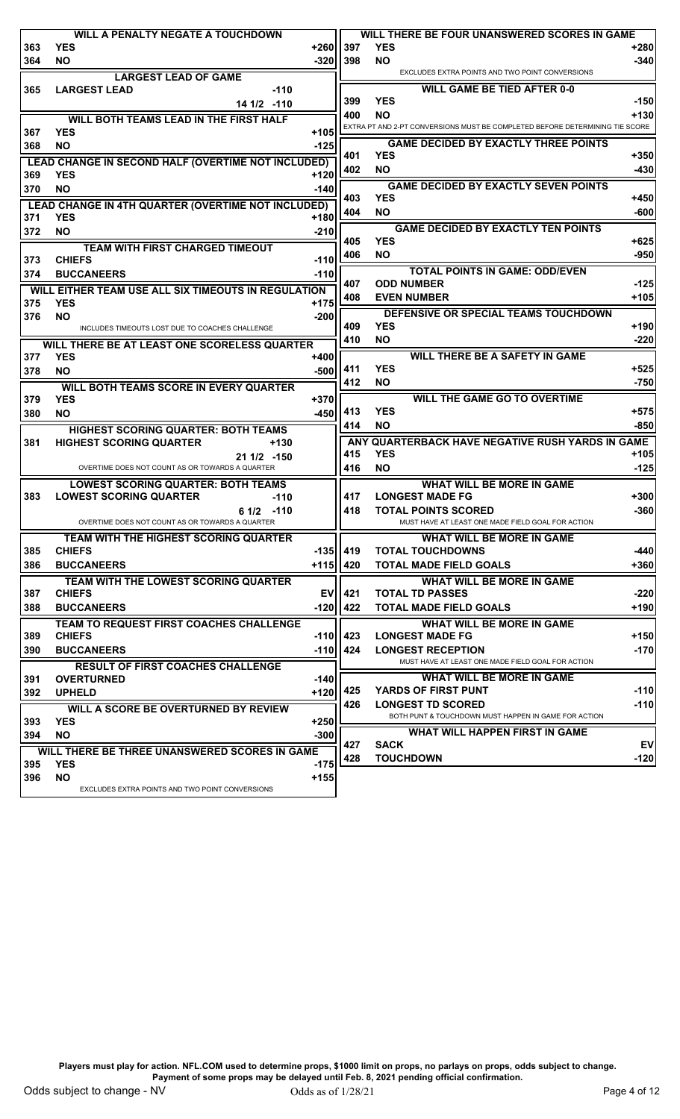|     | <b>WILL A PENALTY NEGATE A TOUCHDOWN</b>                         |        |     | WILL THERE BE FOUR UNANSWERED SCORES IN GAME                                     |              |
|-----|------------------------------------------------------------------|--------|-----|----------------------------------------------------------------------------------|--------------|
| 363 | <b>YES</b>                                                       | +260   | 397 | <b>YES</b>                                                                       | +280         |
| 364 | <b>NO</b>                                                        | $-320$ | 398 | <b>NO</b>                                                                        | $-340$       |
|     | <b>LARGEST LEAD OF GAME</b>                                      |        |     | EXCLUDES EXTRA POINTS AND TWO POINT CONVERSIONS                                  |              |
| 365 | <b>LARGEST LEAD</b><br>$-110$                                    |        |     | <b>WILL GAME BE TIED AFTER 0-0</b>                                               |              |
|     | 14 1/2 -110                                                      |        | 399 | <b>YES</b>                                                                       | $-150$       |
|     | <b>WILL BOTH TEAMS LEAD IN THE FIRST HALF</b>                    |        | 400 | <b>NO</b>                                                                        | $+130$       |
| 367 | <b>YES</b>                                                       | $+105$ |     | EXTRA PT AND 2-PT CONVERSIONS MUST BE COMPLETED BEFORE DETERMINING TIE           | <b>SCORE</b> |
|     |                                                                  |        |     | <b>GAME DECIDED BY EXACTLY THREE POINTS</b>                                      |              |
| 368 | <b>NO</b>                                                        | $-125$ | 401 | <b>YES</b>                                                                       | $+350$       |
|     | <b>LEAD CHANGE IN SECOND HALF (OVERTIME NOT INCLUDED)</b>        |        | 402 | <b>NO</b>                                                                        | -430         |
| 369 | <b>YES</b>                                                       | $+120$ |     |                                                                                  |              |
| 370 | <b>NO</b>                                                        | $-140$ |     | <b>GAME DECIDED BY EXACTLY SEVEN POINTS</b><br><b>YES</b>                        |              |
|     | LEAD CHANGE IN 4TH QUARTER (OVERTIME NOT INCLUDED)               |        | 403 |                                                                                  | +450         |
| 371 | <b>YES</b>                                                       | $+180$ | 404 | <b>NO</b>                                                                        | $-600$       |
| 372 | <b>NO</b>                                                        | $-210$ |     | <b>GAME DECIDED BY EXACTLY TEN POINTS</b>                                        |              |
|     | <b>TEAM WITH FIRST CHARGED TIMEOUT</b>                           |        | 405 | <b>YES</b>                                                                       | $+625$       |
| 373 | <b>CHIEFS</b>                                                    | $-110$ | 406 | <b>NO</b>                                                                        | -950         |
| 374 | <b>BUCCANEERS</b>                                                | $-110$ |     | <b>TOTAL POINTS IN GAME: ODD/EVEN</b>                                            |              |
|     |                                                                  |        | 407 | <b>ODD NUMBER</b>                                                                | $-125$       |
|     | WILL EITHER TEAM USE ALL SIX TIMEOUTS IN REGULATION              |        | 408 | <b>EVEN NUMBER</b>                                                               | $+105$       |
| 375 | <b>YES</b>                                                       | $+175$ |     | DEFENSIVE OR SPECIAL TEAMS TOUCHDOWN                                             |              |
| 376 | <b>NO</b>                                                        | $-200$ | 409 | <b>YES</b>                                                                       | +190         |
|     | INCLUDES TIMEOUTS LOST DUE TO COACHES CHALLENGE                  |        |     |                                                                                  |              |
|     | WILL THERE BE AT LEAST ONE SCORELESS QUARTER                     |        | 410 | <b>NO</b>                                                                        | $-220$       |
| 377 | <b>YES</b>                                                       | $+400$ |     | <b>WILL THERE BE A SAFETY IN GAME</b>                                            |              |
| 378 | <b>NO</b>                                                        | $-500$ | 411 | <b>YES</b>                                                                       | $+525$       |
|     | <b>WILL BOTH TEAMS SCORE IN EVERY QUARTER</b>                    |        | 412 | NO.                                                                              | -750         |
| 379 | <b>YES</b>                                                       | $+370$ |     | <b>WILL THE GAME GO TO OVERTIME</b>                                              |              |
| 380 | <b>NO</b>                                                        | $-450$ | 413 | <b>YES</b>                                                                       | $+575$       |
|     | HIGHEST SCORING QUARTER: BOTH TEAMS                              |        | 414 | <b>NO</b>                                                                        | $-850$       |
| 381 | <b>HIGHEST SCORING QUARTER</b><br>$+130$                         |        |     | ANY QUARTERBACK HAVE NEGATIVE RUSH YARDS IN GAME                                 |              |
|     |                                                                  |        | 415 | <b>YES</b>                                                                       | +105         |
|     | $211/2 - 150$<br>OVERTIME DOES NOT COUNT AS OR TOWARDS A QUARTER |        | 416 | <b>NO</b>                                                                        | $-125$       |
|     |                                                                  |        |     |                                                                                  |              |
|     | <b>LOWEST SCORING QUARTER: BOTH TEAMS</b>                        |        |     | <b>WHAT WILL BE MORE IN GAME</b>                                                 |              |
| 383 | <b>LOWEST SCORING QUARTER</b><br>-110                            |        | 417 | <b>LONGEST MADE FG</b>                                                           | $+300$       |
|     | $61/2$ -110                                                      |        | 418 | <b>TOTAL POINTS SCORED</b>                                                       | $-360$       |
|     | OVERTIME DOES NOT COUNT AS OR TOWARDS A QUARTER                  |        |     | MUST HAVE AT LEAST ONE MADE FIELD GOAL FOR ACTION                                |              |
|     | TEAM WITH THE HIGHEST SCORING QUARTER                            |        |     | <b>WHAT WILL BE MORE IN GAME</b>                                                 |              |
| 385 | <b>CHIEFS</b>                                                    | $-135$ | 419 | <b>TOTAL TOUCHDOWNS</b>                                                          | -440         |
| 386 | <b>BUCCANEERS</b>                                                | $+115$ | 420 | <b>TOTAL MADE FIELD GOALS</b>                                                    | +360         |
|     | TEAM WITH THE LOWEST SCORING QUARTER                             |        |     | WHAT WILL BE MORE IN GAME                                                        |              |
| 387 | <b>CHIEFS</b>                                                    | EV     | 421 | <b>TOTAL TD PASSES</b>                                                           | $-220$       |
| 388 | <b>BUCCANEERS</b>                                                | $-120$ | 422 | <b>TOTAL MADE FIELD GOALS</b>                                                    | $+190$       |
|     | TEAM TO REQUEST FIRST COACHES CHALLENGE                          |        |     | <b>WHAT WILL BE MORE IN GAME</b>                                                 |              |
| 389 | <b>CHIEFS</b>                                                    | -110   | 423 | <b>LONGEST MADE FG</b>                                                           | $+150$       |
| 390 | <b>BUCCANEERS</b>                                                | $-110$ | 424 | <b>LONGEST RECEPTION</b>                                                         | $-170$       |
|     |                                                                  |        |     | MUST HAVE AT LEAST ONE MADE FIELD GOAL FOR ACTION                                |              |
|     | <b>RESULT OF FIRST COACHES CHALLENGE</b>                         |        |     | <b>WHAT WILL BE MORE IN GAME</b>                                                 |              |
| 391 | <b>OVERTURNED</b>                                                | $-140$ |     | <b>YARDS OF FIRST PUNT</b>                                                       | $-110$       |
| 392 | <b>UPHELD</b>                                                    | $+120$ | 425 |                                                                                  |              |
|     | WILL A SCORE BE OVERTURNED BY REVIEW                             |        | 426 | <b>LONGEST TD SCORED</b><br>BOTH PUNT & TOUCHDOWN MUST HAPPEN IN GAME FOR ACTION | $-110$       |
| 393 | <b>YES</b>                                                       | $+250$ |     |                                                                                  |              |
| 394 | <b>NO</b>                                                        | $-300$ |     | WHAT WILL HAPPEN FIRST IN GAME                                                   |              |
|     | WILL THERE BE THREE UNANSWERED SCORES IN GAME                    |        | 427 | <b>SACK</b>                                                                      | EV           |
| 395 | <b>YES</b>                                                       | $-175$ | 428 | <b>TOUCHDOWN</b>                                                                 | $-120$       |
| 396 | <b>NO</b>                                                        | $+155$ |     |                                                                                  |              |
|     | EXCLUDES EXTRA POINTS AND TWO POINT CONVERSIONS                  |        |     |                                                                                  |              |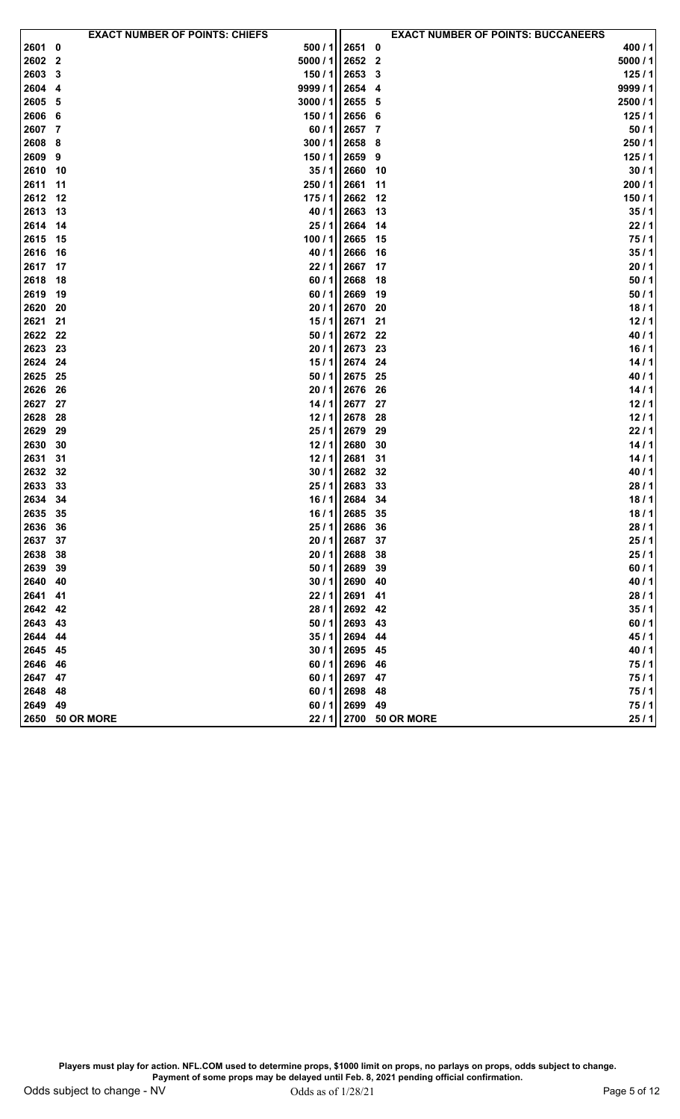|         |                 | <b>EXACT NUMBER OF POINTS: CHIEFS</b> |             |              |                 | <b>EXACT NUMBER OF POINTS: BUCCANEERS</b> |
|---------|-----------------|---------------------------------------|-------------|--------------|-----------------|-------------------------------------------|
| 2601 0  |                 | 500/1                                 | 2651        | 0            |                 | 400 / 1                                   |
| 2602 2  |                 | 5000 / 1                              | 2652        | $\mathbf{2}$ |                 | 5000 / 1                                  |
| 2603    | - 3             | 150/1                                 | 2653        | 3            |                 | 125/1                                     |
| 2604    | - 4             | 9999 / 1                              | 2654        | 4            |                 | 9999 / $1$                                |
| 2605    | - 5             | 3000 / 1                              | 2655        | 5            |                 | 2500 / 1                                  |
| 2606 6  |                 | 150/1                                 | 2656        | -6           |                 | 125/1                                     |
| 2607    | -7              | 60/1                                  | 2657        | 7            |                 | 50/1                                      |
| 2608    | - 8             | 300/1                                 | 2658        | 8            |                 | 250/1                                     |
| 2609    | 9               | 150/1                                 | 2659        | 9            |                 | 125/1                                     |
| 2610    | 10              | 35/1                                  | 2660        | 10           |                 | 30/1                                      |
| 2611    | 11              | 250 / 1                               | 2661        | 11           |                 | 200/1                                     |
| 2612 12 |                 | 175/1                                 | 2662        | 12           |                 | 150/1                                     |
| 2613    | - 13            | 40/1                                  | 2663        | 13           |                 | 35/1                                      |
| 2614    | -14             | 25/1                                  | 2664        | 14           |                 | 22/1                                      |
| 2615    | 15              | 100/1                                 | 2665        | 15           |                 | 75/1                                      |
| 2616    | 16              | 40/1                                  | 2666        | 16           |                 | 35/1                                      |
| 2617    | 17              | 22/1                                  | 2667        | 17           |                 | 20/1                                      |
| 2618    | 18              | 60/1                                  | 2668        | 18           |                 | 50/1                                      |
| 2619    | 19              | 60/1                                  | 2669        | 19           |                 | 50/1                                      |
| 2620    | 20              | 20/1                                  | 2670        | 20           |                 | 18/1                                      |
| 2621    | 21              | 15/1                                  | 2671        | 21           |                 | 12/1                                      |
| 2622    | -22             | 50/1                                  | 2672        | 22           |                 | 40/1                                      |
| 2623    | 23              | 20/1                                  | 2673        | 23           |                 | 16/1                                      |
| 2624    | - 24            | 15/1                                  | 2674        | 24           |                 | 14/1                                      |
| 2625    | - 25            | 50/1                                  | 2675        | 25           |                 | 40/1                                      |
| 2626    | 26              | 20/1                                  | 2676        | 26           |                 | 14/1                                      |
| 2627    | 27              | 14/1                                  | 2677        | 27           |                 | 12/1                                      |
| 2628    | 28              | 12/1                                  | 2678        | 28           |                 | 12/1                                      |
| 2629    | 29              | 25/1                                  | 2679        | 29           |                 | 22/1                                      |
| 2630    | 30              | 12/1                                  | 2680        | 30           |                 | 14/1                                      |
| 2631    | 31              | 12/1                                  | 2681        | 31           |                 | 14/1                                      |
| 2632 32 |                 | 30/1                                  | 2682        | 32           |                 | 40/1                                      |
| 2633    | 33              | 25/1                                  | 2683        | 33           |                 | 28/1                                      |
| 2634    | 34              | 16/1                                  | 2684        | 34           |                 | 18/1                                      |
| 2635 35 |                 | 16/1                                  | 2685 35     |              |                 | 18/1                                      |
| 2636    | 36              |                                       | 25 / 1 2686 | -36          |                 | 28/1                                      |
| 2637    | 37              | 20/1                                  | 2687        | 37           |                 | 25/1                                      |
| 2638    | 38              | 20/1                                  | 2688        | 38           |                 | 25/1                                      |
| 2639    | 39              | 50/1                                  | 2689        | 39           |                 | 60/1                                      |
| 2640    | 40              | 30/1                                  | 2690        | 40           |                 | 40/1                                      |
| 2641    | 41              | 22/1                                  | 2691        | 41           |                 | 28/1                                      |
| 2642 42 |                 | 28/1                                  | 2692        | 42           |                 | 35/1                                      |
| 2643    | 43              | 50/1                                  | 2693        | 43           |                 | 60/1                                      |
| 2644    | - 44            | 35/1                                  | 2694        | 44           |                 | 45/1                                      |
| 2645    | 45              | 30/1                                  | 2695        | 45           |                 | 40/1                                      |
| 2646    | 46              | 60/1                                  | 2696        | 46           |                 | 75/1                                      |
| 2647 47 |                 | 60 / 1                                | 2697        | 47           |                 | 75/1                                      |
| 2648    | 48              | 60/1                                  | 2698        | 48           |                 | 75/1                                      |
| 2649    | 49              | 60/1                                  | 2699        | 49           |                 | 75/1                                      |
|         | 2650 50 OR MORE | 22/1                                  |             |              | 2700 50 OR MORE | 25/1                                      |
|         |                 |                                       |             |              |                 |                                           |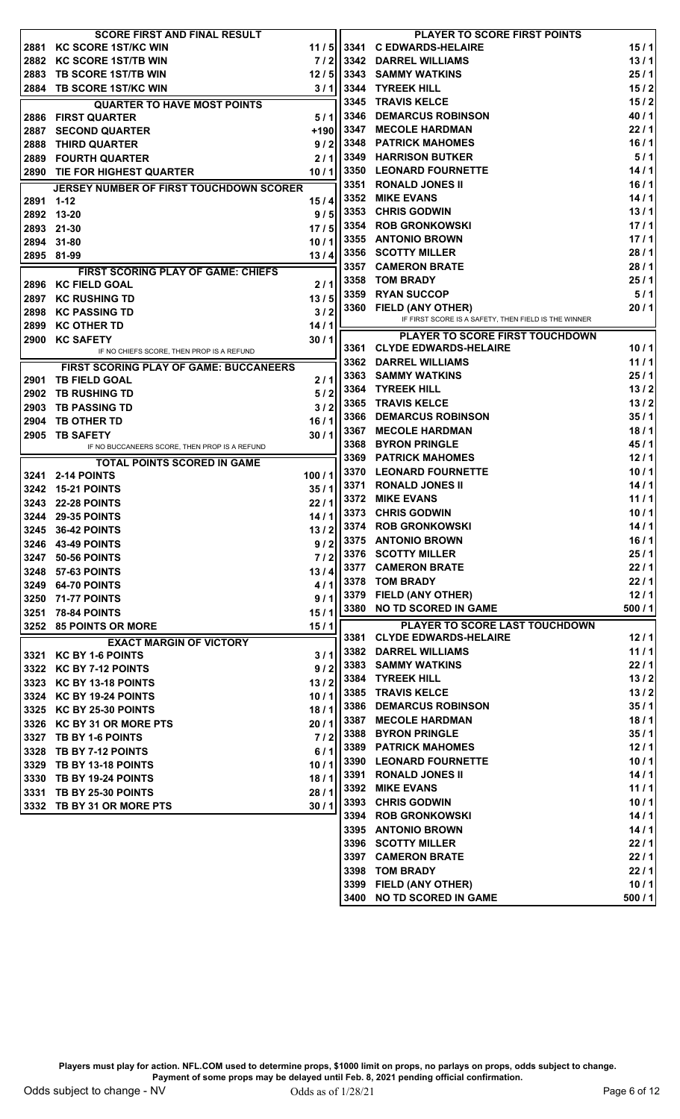|      | <b>SCORE FIRST AND FINAL RESULT</b>           |         |      | <b>PLAYER TO SCORE FIRST POINTS</b>                  |       |
|------|-----------------------------------------------|---------|------|------------------------------------------------------|-------|
| 2881 | <b>KC SCORE 1ST/KC WIN</b>                    | 11/5    |      | 3341 C EDWARDS-HELAIRE                               | 15/1  |
|      | 2882 KC SCORE 1ST/TB WIN                      | 7/21    |      | 3342 DARREL WILLIAMS                                 | 13/1  |
| 2883 | <b>TB SCORE 1ST/TB WIN</b>                    | 12/5    |      | 3343 SAMMY WATKINS                                   | 25/1  |
|      | 2884 TB SCORE 1ST/KC WIN                      | 3/1     |      | 3344 TYREEK HILL                                     | 15/2  |
|      | <b>QUARTER TO HAVE MOST POINTS</b>            |         | 3345 | <b>TRAVIS KELCE</b>                                  | 15/2  |
|      | 2886 FIRST QUARTER                            | 5/1     | 3346 | <b>DEMARCUS ROBINSON</b>                             | 40/1  |
| 2887 | <b>SECOND QUARTER</b>                         | +190    | 3347 | <b>MECOLE HARDMAN</b>                                | 22/1  |
| 2888 | <b>THIRD QUARTER</b>                          | 9/2     | 3348 | <b>PATRICK MAHOMES</b>                               | 16/1  |
| 2889 | <b>FOURTH QUARTER</b>                         | 2/1     | 3349 | <b>HARRISON BUTKER</b>                               | 5/1   |
|      | 2890 TIE FOR HIGHEST QUARTER                  | 10/1    | 3350 | <b>LEONARD FOURNETTE</b>                             | 14/1  |
|      | JERSEY NUMBER OF FIRST TOUCHDOWN SCORER       |         | 3351 | <b>RONALD JONES II</b>                               | 16/1  |
| 2891 | 1-12                                          | 15/4    | 3352 | <b>MIKE EVANS</b>                                    | 14/1  |
| 2892 | 13-20                                         | 9/5     | 3353 | <b>CHRIS GODWIN</b>                                  | 13/1  |
|      | 2893 21-30                                    | 17/5    |      | 3354 ROB GRONKOWSKI                                  | 17/1  |
| 2894 | 31-80                                         | 10/1    |      | 3355 ANTONIO BROWN                                   | 17/1  |
|      | 2895 81-99                                    | 13/4    |      | 3356 SCOTTY MILLER                                   | 28/1  |
|      | <b>FIRST SCORING PLAY OF GAME: CHIEFS</b>     |         |      | 3357 CAMERON BRATE                                   | 28/1  |
|      | 2896 KC FIELD GOAL                            | 2/1     |      | 3358 TOM BRADY                                       | 25/1  |
|      | 2897 KC RUSHING TD                            | 13/5    | 3359 | <b>RYAN SUCCOP</b>                                   | 5/1   |
|      | 2898 KC PASSING TD                            | 3/2     |      | 3360 FIELD (ANY OTHER)                               | 20/1  |
|      | 2899 KC OTHER TD                              | 14/1    |      | IF FIRST SCORE IS A SAFETY, THEN FIELD IS THE WINNER |       |
|      | 2900 KC SAFETY                                | 30/1    |      | <b>PLAYER TO SCORE FIRST TOUCHDOWN</b>               |       |
|      | IF NO CHIEFS SCORE, THEN PROP IS A REFUND     |         | 3361 | <b>CLYDE EDWARDS-HELAIRE</b>                         | 10/1  |
|      | <b>FIRST SCORING PLAY OF GAME: BUCCANEERS</b> |         | 3362 | <b>DARREL WILLIAMS</b>                               | 11/1  |
|      | 2901 TB FIELD GOAL                            | 2/1     | 3363 | <b>SAMMY WATKINS</b>                                 | 25/1  |
|      | 2902 TB RUSHING TD                            | 5/2     |      | 3364 TYREEK HILL                                     | 13/2  |
| 2903 | <b>TB PASSING TD</b>                          | 3/2     |      | 3365 TRAVIS KELCE                                    | 13/2  |
| 2904 | <b>TB OTHER TD</b>                            | 16/1    | 3366 | <b>DEMARCUS ROBINSON</b>                             | 35/1  |
| 2905 | <b>TB SAFETY</b>                              | 30/1    | 3367 | <b>MECOLE HARDMAN</b>                                | 18/1  |
|      | IF NO BUCCANEERS SCORE, THEN PROP IS A REFUND |         | 3368 | <b>BYRON PRINGLE</b>                                 | 45/1  |
|      | <b>TOTAL POINTS SCORED IN GAME</b>            |         | 3369 | <b>PATRICK MAHOMES</b>                               | 12/1  |
|      | 3241 2-14 POINTS                              | 100/1   |      | 3370 LEONARD FOURNETTE                               | 10/1  |
|      | 3242 15-21 POINTS                             | 35/1    |      | 3371 RONALD JONES II                                 | 14/1  |
|      | 3243 22-28 POINTS                             | 22/1    |      | 3372 MIKE EVANS                                      | 11/1  |
|      | 3244 29-35 POINTS                             | 14/1    |      | 3373 CHRIS GODWIN                                    | 10/1  |
|      | 3245 36-42 POINTS                             | 13 / 2l |      | 3374 ROB GRONKOWSKI                                  | 14/1  |
|      | 3246 43-49 POINTS                             | 9/2     |      | 3375 ANTONIO BROWN                                   | 16/1  |
|      | 3247 50-56 POINTS                             | $7/2$   |      | 3376 SCOTTY MILLER                                   | 25/1  |
|      | 3248 57-63 POINTS                             | 13/4    |      | 3377 CAMERON BRATE                                   | 22/1  |
|      | 3249 64-70 POINTS                             | 4/1     |      | 3378 TOM BRADY                                       | 22/1  |
|      | 3250 71-77 POINTS                             | 9/1     |      | 3379 FIELD (ANY OTHER)                               | 12/1  |
|      | 3251 78-84 POINTS                             | 15/1    |      | 3380 NO TD SCORED IN GAME                            | 500/1 |
|      | 3252 85 POINTS OR MORE                        | 15/1    |      | PLAYER TO SCORE LAST TOUCHDOWN                       |       |
|      | <b>EXACT MARGIN OF VICTORY</b>                |         |      | 3381 CLYDE EDWARDS-HELAIRE                           | 12/1  |
|      | 3321 KC BY 1-6 POINTS                         | 3/1     |      | 3382 DARREL WILLIAMS                                 | 11/1  |
|      | 3322 KC BY 7-12 POINTS                        | 9/2     |      | 3383 SAMMY WATKINS                                   | 22/1  |
|      | 3323 KC BY 13-18 POINTS                       | 13/2    |      | 3384 TYREEK HILL                                     | 13/2  |
|      | 3324 KC BY 19-24 POINTS                       | 10/1    |      | 3385 TRAVIS KELCE                                    | 13/2  |
|      | 3325 KC BY 25-30 POINTS                       | 18/1    |      | 3386 DEMARCUS ROBINSON                               | 35/1  |
|      | 3326 KC BY 31 OR MORE PTS                     | 20/1    |      | 3387 MECOLE HARDMAN                                  | 18/1  |
|      | 3327 TB BY 1-6 POINTS                         | $7/2$   |      | 3388 BYRON PRINGLE                                   | 35/1  |
|      | 3328 TB BY 7-12 POINTS                        | 6/1     |      | 3389 PATRICK MAHOMES                                 | 12/1  |
|      | 3329 TB BY 13-18 POINTS                       | 10/1    |      | 3390 LEONARD FOURNETTE                               | 10/1  |
|      | 3330 TB BY 19-24 POINTS                       | 18/1    |      | 3391 RONALD JONES II                                 | 14/1  |
|      | 3331 TB BY 25-30 POINTS                       | 28/1    |      | 3392 MIKE EVANS                                      | 11/1  |
|      | 3332 TB BY 31 OR MORE PTS                     | 30/1    |      | 3393 CHRIS GODWIN                                    | 10/1  |
|      |                                               |         |      | 3394 ROB GRONKOWSKI                                  | 14/1  |
|      |                                               |         |      | 3395 ANTONIO BROWN                                   | 14/1  |
|      |                                               |         |      | 3396 SCOTTY MILLER                                   | 22/1  |
|      |                                               |         |      | 3397 CAMERON BRATE                                   | 22/1  |
|      |                                               |         |      | 3398 TOM BRADY                                       | 22/1  |
|      |                                               |         |      | 3399 FIELD (ANY OTHER)                               | 10/1  |
|      |                                               |         |      | 3400 NO TD SCORED IN GAME                            | 500/1 |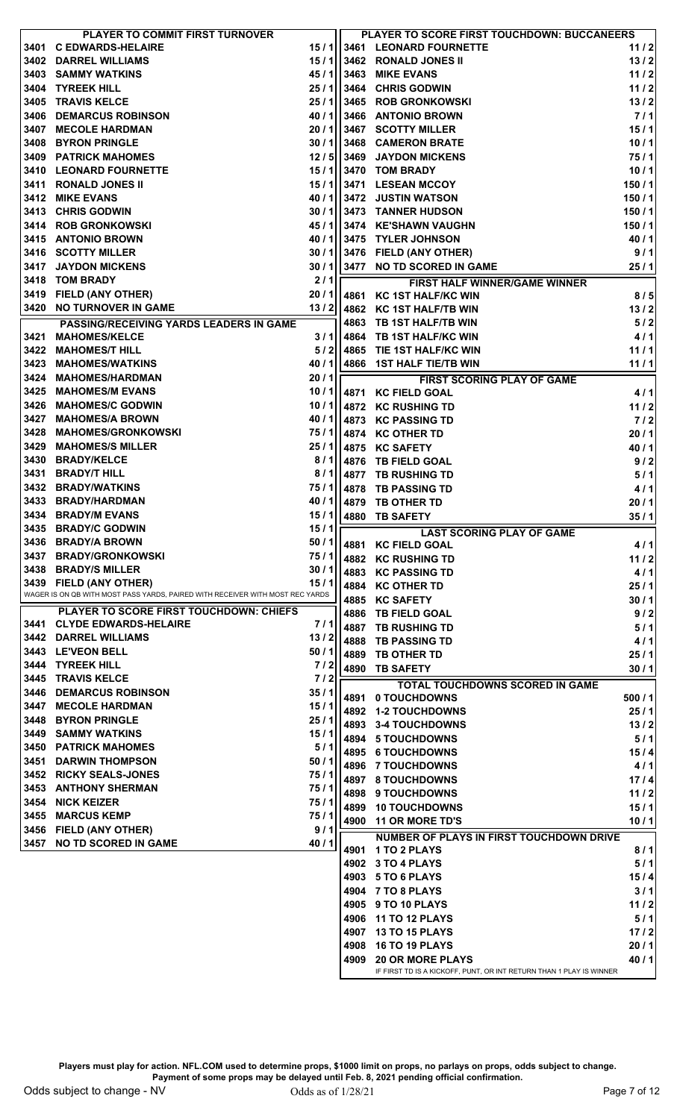|      | PLAYER TO COMMIT FIRST TURNOVER                                               |              |      | PLAYER TO SCORE FIRST TOUCHDOWN: BUCCANEERS                                                    |        |       |
|------|-------------------------------------------------------------------------------|--------------|------|------------------------------------------------------------------------------------------------|--------|-------|
|      | 3401 C EDWARDS-HELAIRE                                                        |              |      | 15 / 1 3461 LEONARD FOURNETTE                                                                  | 11/2   |       |
|      | 3402 DARREL WILLIAMS                                                          | 15/11        |      | 3462 RONALD JONES II                                                                           | 13/2   |       |
|      | 3403 SAMMY WATKINS                                                            | 45/1         |      | 3463 MIKE EVANS                                                                                | 11/2   |       |
| 3404 | <b>TYREEK HILL</b>                                                            | 25/1         |      | 3464 CHRIS GODWIN                                                                              | 11/2   |       |
| 3405 | <b>TRAVIS KELCE</b>                                                           | 25/1         |      | 3465 ROB GRONKOWSKI                                                                            | 13/2   |       |
| 3406 | <b>DEMARCUS ROBINSON</b>                                                      | 40/1         |      | 3466 ANTONIO BROWN                                                                             |        | 7/1   |
| 3407 | <b>MECOLE HARDMAN</b>                                                         | 20/1         |      | 3467 SCOTTY MILLER                                                                             | 15/1   |       |
| 3408 | <b>BYRON PRINGLE</b>                                                          | 30/1         |      | 3468 CAMERON BRATE                                                                             | 10/1   |       |
| 3409 | <b>PATRICK MAHOMES</b>                                                        | 12/5         |      | 3469 JAYDON MICKENS                                                                            | 75/1   |       |
|      | 3410 LEONARD FOURNETTE                                                        | 15/1         |      | 3470 TOM BRADY                                                                                 | 10/1   |       |
| 3411 | <b>RONALD JONES II</b>                                                        | 15/1         |      | 3471 LESEAN MCCOY                                                                              | 150/1  |       |
|      | 3412 MIKE EVANS                                                               | 40/1         |      | 3472 JUSTIN WATSON                                                                             | 150/1  |       |
|      | 3413 CHRIS GODWIN                                                             | 30/1         |      | <b>3473 TANNER HUDSON</b>                                                                      | 150/1  |       |
|      | 3414 ROB GRONKOWSKI                                                           |              |      | 45 / 1 3474 KE'SHAWN VAUGHN                                                                    | 150/1  |       |
|      | 3415 ANTONIO BROWN                                                            |              |      | 40 / 1 3475 TYLER JOHNSON                                                                      | 40/1   |       |
|      | 3416 SCOTTY MILLER                                                            |              |      | 30 / 1 3476 FIELD (ANY OTHER)                                                                  |        | 9/1   |
|      | 3417 JAYDON MICKENS                                                           |              |      | 30 / 1 3477 NO TD SCORED IN GAME                                                               | 25/1   |       |
|      | 3418 TOM BRADY                                                                | 2/1          |      | FIRST HALF WINNER/GAME WINNER                                                                  |        |       |
|      | 3419 FIELD (ANY OTHER)                                                        | 20/1         |      | 4861 KC 1ST HALF/KC WIN                                                                        |        | 8/5   |
|      | 3420 NO TURNOVER IN GAME                                                      | 13/2         |      | 4862 KC 1ST HALF/TB WIN                                                                        | 13/2   |       |
|      | <b>PASSING/RECEIVING YARDS LEADERS IN GAME</b>                                |              |      | 4863 TB 1ST HALF/TB WIN                                                                        |        | 5/2   |
| 3421 | <b>MAHOMES/KELCE</b>                                                          | 3/1          |      | 4864 TB 1ST HALF/KC WIN                                                                        |        | 4/1   |
|      | 3422 MAHOMES/T HILL                                                           | 5/2          |      | 4865 TIE 1ST HALF/KC WIN                                                                       | 11/1   |       |
| 3423 | <b>MAHOMES/WATKINS</b>                                                        | 40/1         |      | 4866 1ST HALF TIE/TB WIN                                                                       | 11/1   |       |
|      | 3424 MAHOMES/HARDMAN                                                          | 20/1         |      | <b>FIRST SCORING PLAY OF GAME</b>                                                              |        |       |
|      | 3425 MAHOMES/M EVANS                                                          |              |      | 10/1 4871 KC FIELD GOAL                                                                        |        | 4/1   |
| 3426 | <b>MAHOMES/C GODWIN</b>                                                       | 10/11        |      | 4872 KC RUSHING TD                                                                             | 11/2   |       |
|      | 3427 MAHOMES/A BROWN                                                          | 40/1         |      | 4873 KC PASSING TD                                                                             |        | $7/2$ |
|      | 3428 MAHOMES/GRONKOWSKI                                                       | 75/1         |      | 4874 KC OTHER TD                                                                               | 20/1   |       |
| 3429 | <b>MAHOMES/S MILLER</b>                                                       | 25/1         |      | 4875 KC SAFETY                                                                                 | 40 / 1 |       |
|      | 3430 BRADY/KELCE                                                              | 8/1          |      | 4876 TB FIELD GOAL                                                                             |        | 9/2   |
| 3431 | <b>BRADY/T HILL</b>                                                           | 8/1          |      | 4877 TB RUSHING TD                                                                             |        | 5/1   |
|      | 3432 BRADY/WATKINS                                                            | 75/1         |      | 4878 TB PASSING TD                                                                             |        | 4/1   |
|      | 3433 BRADY/HARDMAN                                                            | 40/1         | 4879 | <b>TB OTHER TD</b>                                                                             | 20/1   |       |
|      | 3434 BRADY/M EVANS                                                            |              |      | 15 / 1   4880 TB SAFETY                                                                        | 35/1   |       |
|      | 3435 BRADY/C GODWIN<br>3436 BRADY/A BROWN                                     | 15/1<br>50/1 |      | <b>LAST SCORING PLAY OF GAME</b>                                                               |        |       |
|      | 3437 BRADY/GRONKOWSKI                                                         | 75/1         |      | 4881 KC FIELD GOAL                                                                             |        | 4/1   |
|      | 3438 BRADY/S MILLER                                                           | 30/1         |      | 4882 KC RUSHING TD<br>4883 KC PASSING TD                                                       | 11/2   | 4/1   |
|      | 3439 FIELD (ANY OTHER)                                                        | 15/1         |      | 4884 KC OTHER TD                                                                               | 25/1   |       |
|      | WAGER IS ON QB WITH MOST PASS YARDS, PAIRED WITH RECEIVER WITH MOST REC YARDS |              |      | 4885 KC SAFETY                                                                                 | 30/1   |       |
|      | <b>PLAYER TO SCORE FIRST TOUCHDOWN: CHIEFS</b>                                |              | 4886 | <b>TB FIELD GOAL</b>                                                                           |        | 9/2   |
|      | 3441 CLYDE EDWARDS-HELAIRE                                                    | 7/1          |      | 4887 TB RUSHING TD                                                                             |        | 5/1   |
|      | 3442 DARREL WILLIAMS                                                          | 13/2         |      | 4888 TB PASSING TD                                                                             |        | 4/1   |
|      | 3443 LE'VEON BELL                                                             | 50/1         | 4889 | <b>TB OTHER TD</b>                                                                             | 25/1   |       |
|      | 3444 TYREEK HILL                                                              | 7/2          | 4890 | <b>TB SAFETY</b>                                                                               | 30/1   |       |
|      | 3445 TRAVIS KELCE                                                             | 7/2          |      | <b>TOTAL TOUCHDOWNS SCORED IN GAME</b>                                                         |        |       |
|      | <b>3446 DEMARCUS ROBINSON</b>                                                 | 35/1         | 4891 | 0 TOUCHDOWNS                                                                                   | 500/1  |       |
|      | 3447 MECOLE HARDMAN                                                           | 15/1         |      | 4892 1-2 TOUCHDOWNS                                                                            | 25/1   |       |
|      | 3448 BYRON PRINGLE                                                            | 25/1         |      | 4893 3-4 TOUCHDOWNS                                                                            | 13/2   |       |
|      | 3449 SAMMY WATKINS                                                            | 15/1         |      | 4894 5 TOUCHDOWNS                                                                              |        | 5/1   |
|      | <b>3450 PATRICK MAHOMES</b>                                                   | 5/1          |      | 4895 6 TOUCHDOWNS                                                                              | 15/4   |       |
|      | 3451 DARWIN THOMPSON                                                          | 50/1         |      | 4896 7 TOUCHDOWNS                                                                              |        | 4/1   |
|      | 3452 RICKY SEALS-JONES<br>3453 ANTHONY SHERMAN                                | 75/1<br>75/1 |      | 4897 8 TOUCHDOWNS                                                                              | 17/4   |       |
|      | 3454 NICK KEIZER                                                              | 75/1         |      | 4898 9 TOUCHDOWNS                                                                              | 11/2   |       |
|      | 3455 MARCUS KEMP                                                              | 75/1         |      | 4899 10 TOUCHDOWNS                                                                             | 15/1   |       |
|      | 3456 FIELD (ANY OTHER)                                                        | 9/1          | 4900 | <b>11 OR MORE TD'S</b>                                                                         | 10/1   |       |
|      | 3457 NO TD SCORED IN GAME                                                     | 40/1         |      | <b>NUMBER OF PLAYS IN FIRST TOUCHDOWN DRIVE</b>                                                |        |       |
|      |                                                                               |              | 4901 | <b>1 TO 2 PLAYS</b>                                                                            |        | 8/1   |
|      |                                                                               |              |      | 4902 3 TO 4 PLAYS                                                                              |        | 5/1   |
|      |                                                                               |              |      | 4903 5 TO 6 PLAYS                                                                              | 15/4   |       |
|      |                                                                               |              |      | 4904 7 TO 8 PLAYS                                                                              |        | 3/1   |
|      |                                                                               |              |      | 4905 9 TO 10 PLAYS                                                                             | 11/2   |       |
|      |                                                                               |              |      | 4906 11 TO 12 PLAYS                                                                            |        | 5/1   |
|      |                                                                               |              |      | 4907 13 TO 15 PLAYS                                                                            | 17/2   |       |
|      |                                                                               |              |      | 4908 16 TO 19 PLAYS                                                                            | 20/1   |       |
|      |                                                                               |              | 4909 | <b>20 OR MORE PLAYS</b><br>IF FIRST TD IS A KICKOFF, PUNT, OR INT RETURN THAN 1 PLAY IS WINNER | 40/1   |       |
|      |                                                                               |              |      |                                                                                                |        |       |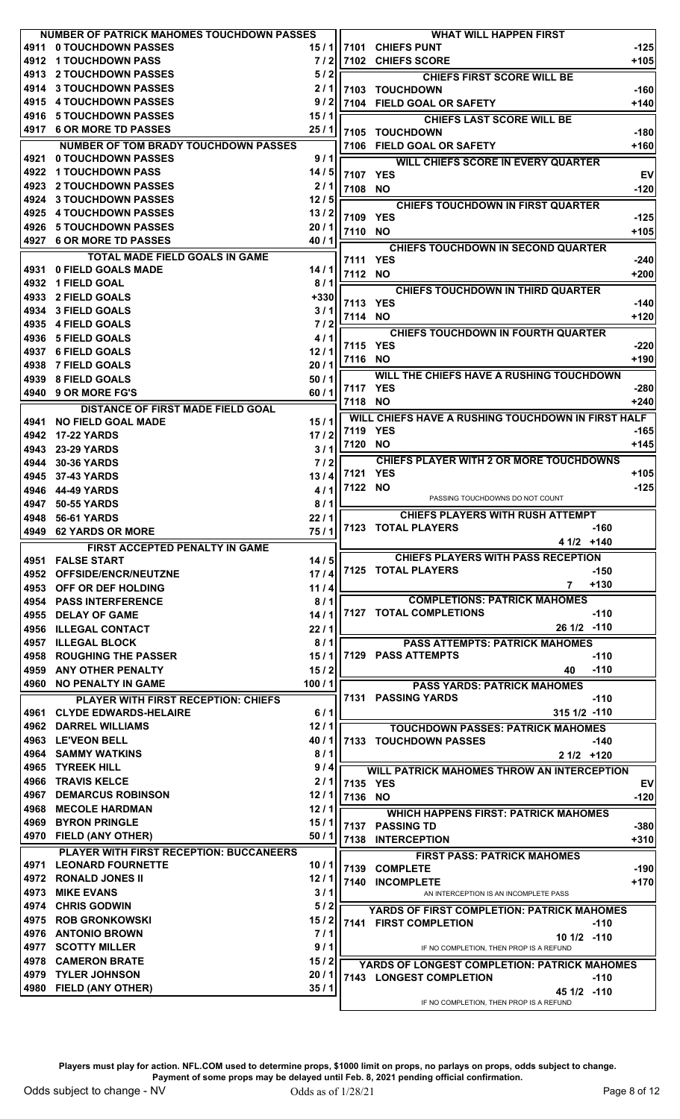|      | <b>NUMBER OF PATRICK MAHOMES TOUCHDOWN PASSES</b> |         |          | <b>WHAT WILL HAPPEN FIRST</b>                      |           |
|------|---------------------------------------------------|---------|----------|----------------------------------------------------|-----------|
| 4911 | 0 TOUCHDOWN PASSES                                | 15 / 11 | l 7101 l | <b>CHIEFS PUNT</b>                                 | $-125$    |
|      | 4912 1 TOUCHDOWN PASS                             | 7/2     |          | <b>17102 CHIEFS SCORE</b>                          | $+105$    |
|      | 4913 2 TOUCHDOWN PASSES                           | 5/2     |          | <b>CHIEFS FIRST SCORE WILL BE</b>                  |           |
|      | 4914 3 TOUCHDOWN PASSES                           | 2/1     |          | 7103 TOUCHDOWN                                     | -1601     |
|      | 4915 4 TOUCHDOWN PASSES                           | 9/2     |          | 7104 FIELD GOAL OR SAFETY                          | $+140$    |
|      | 4916 5 TOUCHDOWN PASSES                           | 15/1    |          | <b>CHIEFS LAST SCORE WILL BE</b>                   |           |
|      | 4917 6 OR MORE TD PASSES                          | 25/1    |          | 7105 TOUCHDOWN                                     | $-180$    |
|      | <b>NUMBER OF TOM BRADY TOUCHDOWN PASSES</b>       |         |          | 7106 FIELD GOAL OR SAFETY                          | $+160$    |
| 4921 | 0 TOUCHDOWN PASSES                                | 9/1     |          | <b>WILL CHIEFS SCORE IN EVERY QUARTER</b>          |           |
|      | 4922 1 TOUCHDOWN PASS                             | 14 / 5  | 7107 YES |                                                    | <b>EV</b> |
|      | 4923 2 TOUCHDOWN PASSES                           | 2/1     | 7108 NO  |                                                    | $-120$    |
| 4924 | <b>3 TOUCHDOWN PASSES</b>                         | 12/5    |          | <b>CHIEFS TOUCHDOWN IN FIRST QUARTER</b>           |           |
|      | 4925 4 TOUCHDOWN PASSES                           | 13/2    | 7109 YES |                                                    | $-125$    |
|      | 4926 5 TOUCHDOWN PASSES                           | 20/1    | 7110 NO  |                                                    | $+105$    |
|      | 4927 6 OR MORE TD PASSES                          | 40 / 1  |          |                                                    |           |
|      | <b>TOTAL MADE FIELD GOALS IN GAME</b>             |         |          | <b>CHIEFS TOUCHDOWN IN SECOND QUARTER</b>          |           |
| 4931 | 0 FIELD GOALS MADE                                | 14/1    | 7111 YES |                                                    | $-240$    |
|      | 4932 1 FIELD GOAL                                 | 8/1     | 7112 NO  |                                                    | $+200$    |
|      | 4933 2 FIELD GOALS                                | $+330$  |          | <b>CHIEFS TOUCHDOWN IN THIRD QUARTER</b>           |           |
|      | 4934 3 FIELD GOALS                                | 3/1     | 7113 YES |                                                    | -1401     |
|      | 4935 4 FIELD GOALS                                | 7/2     | 7114 NO  |                                                    | $+120$    |
|      |                                                   |         |          | <b>CHIEFS TOUCHDOWN IN FOURTH QUARTER</b>          |           |
|      | 4936 5 FIELD GOALS                                | 4/1     | 7115 YES |                                                    | $-220$    |
|      | 4937 6 FIELD GOALS                                | 12/1    | 7116 NO  |                                                    | $+190$    |
|      | 4938 7 FIELD GOALS                                | 20/1    |          | WILL THE CHIEFS HAVE A RUSHING TOUCHDOWN           |           |
|      | 4939 8 FIELD GOALS                                | 50/1    | 7117 YES |                                                    | $-280$    |
|      | 4940 9 OR MORE FG'S                               | 60/1    | 7118 NO  |                                                    | $+240$    |
|      | DISTANCE OF FIRST MADE FIELD GOAL                 |         |          |                                                    |           |
|      | 4941 NO FIELD GOAL MADE                           | 15/1    |          | WILL CHIEFS HAVE A RUSHING TOUCHDOWN IN FIRST HALF |           |
|      | 4942 17-22 YARDS                                  | 17/2    | 7119 YES |                                                    | -1651     |
|      | 4943 23-29 YARDS                                  | 3/1     | 7120 NO  |                                                    | $+145$    |
|      | 4944 30-36 YARDS                                  | 7/2     |          | <b>CHIEFS PLAYER WITH 2 OR MORE TOUCHDOWNS</b>     |           |
| 4945 | <b>37-43 YARDS</b>                                | 13/4    | 7121     | <b>YES</b>                                         | +1051     |
| 4946 | 44-49 YARDS                                       | 4/1     | 7122 NO  |                                                    | $-125$    |
| 4947 | <b>50-55 YARDS</b>                                | 8/1     |          | PASSING TOUCHDOWNS DO NOT COUNT                    |           |
|      | 4948 56-61 YARDS                                  |         |          |                                                    |           |
|      |                                                   |         |          | <b>CHIEFS PLAYERS WITH RUSH ATTEMPT</b>            |           |
|      |                                                   | 22/1    |          | 7123 TOTAL PLAYERS<br>$-160$                       |           |
|      | 4949 62 YARDS OR MORE                             | 75/1    |          | $41/2$ +140                                        |           |
|      | FIRST ACCEPTED PENALTY IN GAME                    |         |          | <b>CHIEFS PLAYERS WITH PASS RECEPTION</b>          |           |
|      | 4951 FALSE START                                  | 14/5    |          | 7125 TOTAL PLAYERS<br>-150                         |           |
|      | 4952 OFFSIDE/ENCR/NEUTZNE                         | 17/4    |          | 7                                                  |           |
|      | 4953 OFF OR DEF HOLDING                           | 11/4    |          | $+130$                                             |           |
|      | <b>4954 PASS INTERFERENCE</b>                     | 8/1     |          | <b>COMPLETIONS: PATRICK MAHOMES</b>                |           |
|      | 4955 DELAY OF GAME                                | 14/1    |          | 7127 TOTAL COMPLETIONS<br>$-110$                   |           |
|      | 4956 ILLEGAL CONTACT                              | 22/1    |          | 26 1/2 -110                                        |           |
|      | 4957 ILLEGAL BLOCK                                | 8/1     |          | <b>PASS ATTEMPTS: PATRICK MAHOMES</b>              |           |
|      | <b>4958 ROUGHING THE PASSER</b>                   | 15/1    |          | 7129 PASS ATTEMPTS<br>$-110$                       |           |
|      | 4959 ANY OTHER PENALTY                            | 15/2    |          | $-110$<br>40                                       |           |
|      | 4960 NO PENALTY IN GAME                           | 100/1   |          | <b>PASS YARDS: PATRICK MAHOMES</b>                 |           |
|      | <b>PLAYER WITH FIRST RECEPTION: CHIEFS</b>        |         |          | 7131 PASSING YARDS<br>$-110$                       |           |
|      | 4961 CLYDE EDWARDS-HELAIRE                        | $6/1$   |          | 315 1/2 -110                                       |           |
|      | <b>4962 DARREL WILLIAMS</b>                       | 12/1    |          | <b>TOUCHDOWN PASSES: PATRICK MAHOMES</b>           |           |
|      | 4963 LE'VEON BELL                                 | 40/1    |          | <b>7133 TOUCHDOWN PASSES</b><br>-140               |           |
|      | <b>4964 SAMMY WATKINS</b>                         | 8/1     |          | $21/2$ +120                                        |           |
|      | 4965 TYREEK HILL                                  | 9/4     |          |                                                    |           |
|      | <b>4966 TRAVIS KELCE</b>                          | 2/1     |          | <b>WILL PATRICK MAHOMES THROW AN INTERCEPTION</b>  |           |
|      | <b>4967 DEMARCUS ROBINSON</b>                     |         | 7135 YES |                                                    | <b>EV</b> |
|      | 4968 MECOLE HARDMAN                               | 12/1    | 7136 NO  |                                                    | $-120$    |
|      |                                                   | 12/1    |          | <b>WHICH HAPPENS FIRST: PATRICK MAHOMES</b>        |           |
|      | 4969 BYRON PRINGLE                                | 15/1    | 7137     | <b>PASSING TD</b>                                  | $-380$    |
|      | 4970 FIELD (ANY OTHER)                            | 50/1    | 7138     | <b>INTERCEPTION</b>                                | $+310$    |
|      | PLAYER WITH FIRST RECEPTION: BUCCANEERS           |         |          | <b>FIRST PASS: PATRICK MAHOMES</b>                 |           |
|      | <b>4971 LEONARD FOURNETTE</b>                     | 10/1    | 7139     | <b>COMPLETE</b>                                    | -190      |
|      | 4972 RONALD JONES II                              | 12/1    |          | 7140 INCOMPLETE                                    | $+170$    |
|      | 4973 MIKE EVANS                                   | 3/1     |          | AN INTERCEPTION IS AN INCOMPLETE PASS              |           |
|      | 4974 CHRIS GODWIN                                 | 5/2     |          | <b>YARDS OF FIRST COMPLETION: PATRICK MAHOMES</b>  |           |
|      | 4975 ROB GRONKOWSKI                               | 15/2    |          | 7141 FIRST COMPLETION<br>-110                      |           |
|      | 4976 ANTONIO BROWN                                | 7/1     |          | $101/2$ -110                                       |           |
|      | <b>4977 SCOTTY MILLER</b>                         | 9/1     |          | IF NO COMPLETION, THEN PROP IS A REFUND            |           |
|      | <b>4978 CAMERON BRATE</b>                         | 15/2    |          | YARDS OF LONGEST COMPLETION: PATRICK MAHOMES       |           |
|      | 4979 TYLER JOHNSON                                | 20/1    |          | 7143 LONGEST COMPLETION<br>$-110$                  |           |
|      | 4980 FIELD (ANY OTHER)                            | 35/1    |          | 45 1/2 -110                                        |           |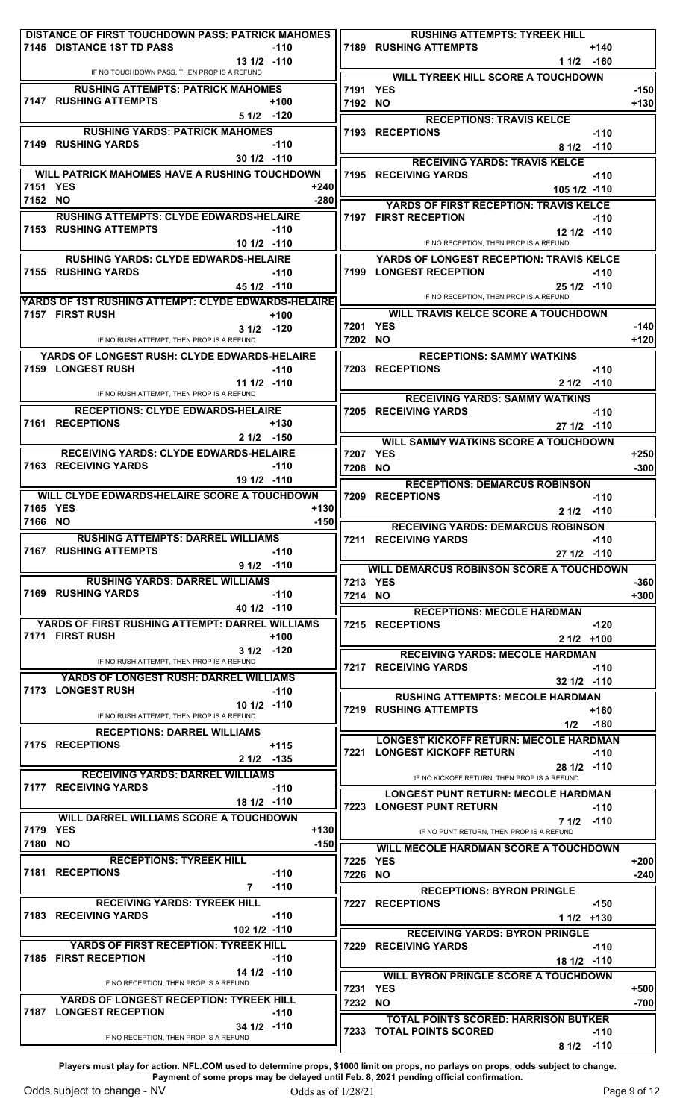|          | DISTANCE OF FIRST TOUCHDOWN PASS: PATRICK MAHOMES<br>7145 DISTANCE 1ST TD PASS | $-110$                 |        |                     | <b>RUSHING ATTEMPTS: TYREEK HILL</b><br><b>7189 RUSHING ATTEMPTS</b><br>$+140$ |                  |
|----------|--------------------------------------------------------------------------------|------------------------|--------|---------------------|--------------------------------------------------------------------------------|------------------|
|          |                                                                                | 13 1/2 -110            |        |                     | 1 1/2 -160                                                                     |                  |
|          | IF NO TOUCHDOWN PASS, THEN PROP IS A REFUND                                    |                        |        |                     | <b>WILL TYREEK HILL SCORE A TOUCHDOWN</b>                                      |                  |
|          | <b>RUSHING ATTEMPTS: PATRICK MAHOMES</b><br>7147 RUSHING ATTEMPTS              | $+100$                 |        | 7191 YES<br>7192 NO |                                                                                | $-150$<br>$+130$ |
|          |                                                                                | $51/2$ -120            |        |                     | <b>RECEPTIONS: TRAVIS KELCE</b>                                                |                  |
|          | <b>RUSHING YARDS: PATRICK MAHOMES</b>                                          |                        |        |                     | 7193 RECEPTIONS<br>$-110$                                                      |                  |
|          | 7149 RUSHING YARDS                                                             | $-110$                 |        |                     | 8 1/2 -110                                                                     |                  |
|          |                                                                                | $301/2$ -110           |        |                     | <b>RECEIVING YARDS: TRAVIS KELCE</b>                                           |                  |
| 7151 YES | <b>WILL PATRICK MAHOMES HAVE A RUSHING TOUCHDOWN</b>                           |                        | $+240$ |                     | 7195 RECEIVING YARDS<br>$-110$                                                 |                  |
| 7152 NO  |                                                                                |                        | $-280$ |                     | 105 1/2 -110                                                                   |                  |
|          | <b>RUSHING ATTEMPTS: CLYDE EDWARDS-HELAIRE</b>                                 |                        |        |                     | YARDS OF FIRST RECEPTION: TRAVIS KELCE<br>7197 FIRST RECEPTION<br>$-110$       |                  |
|          | <b>7153 RUSHING ATTEMPTS</b>                                                   | $-110$                 |        |                     | $121/2$ -110                                                                   |                  |
|          |                                                                                | 10 1/2 -110            |        |                     | IF NO RECEPTION, THEN PROP IS A REFUND                                         |                  |
|          | <b>RUSHING YARDS: CLYDE EDWARDS-HELAIRE</b>                                    |                        |        |                     | <b>YARDS OF LONGEST RECEPTION: TRAVIS KELCE</b>                                |                  |
|          | 7155 RUSHING YARDS                                                             | $-110$<br>45 1/2 -110  |        |                     | 7199 LONGEST RECEPTION<br>$-110$<br>$251/2$ -110                               |                  |
|          | YARDS OF 1ST RUSHING ATTEMPT: CLYDE EDWARDS-HELAIRE                            |                        |        |                     | IF NO RECEPTION, THEN PROP IS A REFUND                                         |                  |
|          | 7157 FIRST RUSH                                                                | $+100$                 |        |                     | <b>WILL TRAVIS KELCE SCORE A TOUCHDOWN</b>                                     |                  |
|          |                                                                                | $31/2$ -120            |        | 7201 YES            |                                                                                | $-140$           |
|          | IF NO RUSH ATTEMPT. THEN PROP IS A REFUND                                      |                        |        | 7202 NO             |                                                                                | $+120$           |
|          | YARDS OF LONGEST RUSH: CLYDE EDWARDS-HELAIRE<br>7159 LONGEST RUSH              | $-110$                 |        |                     | <b>RECEPTIONS: SAMMY WATKINS</b><br>7203 RECEPTIONS<br>$-110$                  |                  |
|          |                                                                                | $111/2$ -110           |        |                     | 2 1/2 -110                                                                     |                  |
|          | IF NO RUSH ATTEMPT, THEN PROP IS A REFUND                                      |                        |        |                     | <b>RECEIVING YARDS: SAMMY WATKINS</b>                                          |                  |
|          | <b>RECEPTIONS: CLYDE EDWARDS-HELAIRE</b>                                       |                        |        |                     | 7205 RECEIVING YARDS<br>$-110$                                                 |                  |
|          | 7161 RECEPTIONS                                                                | $+130$                 |        |                     | $271/2$ -110                                                                   |                  |
|          |                                                                                | $21/2$ -150            |        |                     | <b>WILL SAMMY WATKINS SCORE A TOUCHDOWN</b>                                    |                  |
|          | <b>RECEIVING YARDS: CLYDE EDWARDS-HELAIRE</b><br>7163 RECEIVING YARDS          | $-110$                 |        | 7207 YES<br>7208 NO |                                                                                | $+250$<br>$-300$ |
|          |                                                                                | 19 1/2 -110            |        |                     | <b>RECEPTIONS: DEMARCUS ROBINSON</b>                                           |                  |
|          | WILL CLYDE EDWARDS-HELAIRE SCORE A TOUCHDOWN                                   |                        |        | 7209                | <b>RECEPTIONS</b><br>$-110$                                                    |                  |
| 7165 YES |                                                                                |                        | $+130$ |                     | $21/2$ -110                                                                    |                  |
| 7166 NO  |                                                                                |                        | $-150$ |                     | <b>RECEIVING YARDS: DEMARCUS ROBINSON</b>                                      |                  |
|          | <b>RUSHING ATTEMPTS: DARREL WILLIAMS</b><br><b>7167 RUSHING ATTEMPTS</b>       | $-110$                 |        |                     | 7211 RECEIVING YARDS<br>-110<br>27 1/2 -110                                    |                  |
|          |                                                                                | $91/2$ -110            |        |                     | <b>WILL DEMARCUS ROBINSON SCORE A TOUCHDOWN</b>                                |                  |
|          | <b>RUSHING YARDS: DARREL WILLIAMS</b>                                          |                        |        | 7213 YES            |                                                                                | $-360$           |
|          | 7169 RUSHING YARDS                                                             | $-110$                 |        | 7214 NO             |                                                                                | $+300$           |
|          |                                                                                | 40 1/2 -110            |        |                     | <b>RECEPTIONS: MECOLE HARDMAN</b>                                              |                  |
|          | YARDS OF FIRST RUSHING ATTEMPT: DARREL WILLIAMS<br>7171 FIRST RUSH             | $+100$                 |        |                     | 7215 RECEPTIONS<br>$-120$<br>$21/2$ +100                                       |                  |
|          |                                                                                | $31/2$ -120            |        |                     | <b>RECEIVING YARDS: MECOLE HARDMAN</b>                                         |                  |
|          | IF NO RUSH ATTEMPT, THEN PROP IS A REFUND                                      |                        |        |                     | 7217 RECEIVING YARDS<br>$-110$                                                 |                  |
|          | <b>YARDS OF LONGEST RUSH: DARREL WILLIAMS</b>                                  |                        |        |                     | $32 \frac{1}{2}$ -110                                                          |                  |
|          | 7173 LONGEST RUSH                                                              | $-110$<br>$101/2$ -110 |        |                     | <b>RUSHING ATTEMPTS: MECOLE HARDMAN</b>                                        |                  |
|          | IF NO RUSH ATTEMPT, THEN PROP IS A REFUND                                      |                        |        |                     | <b>7219 RUSHING ATTEMPTS</b><br>$+160$<br>$1/2$ -180                           |                  |
|          | <b>RECEPTIONS: DARREL WILLIAMS</b>                                             |                        |        |                     | <b>LONGEST KICKOFF RETURN: MECOLE HARDMAN</b>                                  |                  |
|          | 7175 RECEPTIONS                                                                | $+115$                 |        |                     | 7221 LONGEST KICKOFF RETURN<br>$-110$                                          |                  |
|          |                                                                                | 2 1/2 -135             |        |                     |                                                                                |                  |
|          |                                                                                |                        |        |                     | 28 1/2 -110                                                                    |                  |
|          | <b>RECEIVING YARDS: DARREL WILLIAMS</b>                                        |                        |        |                     | IF NO KICKOFF RETURN, THEN PROP IS A REFUND                                    |                  |
|          | 7177 RECEIVING YARDS                                                           | $-110$<br>$181/2$ -110 |        |                     | <b>LONGEST PUNT RETURN: MECOLE HARDMAN</b>                                     |                  |
|          | WILL DARREL WILLIAMS SCORE A TOUCHDOWN                                         |                        |        |                     | <b>7223 LONGEST PUNT RETURN</b><br>$-110$                                      |                  |
| 7179 YES |                                                                                |                        | $+130$ |                     | 7 1/2 -110<br>IF NO PUNT RETURN, THEN PROP IS A REFUND                         |                  |
| 7180 NO  |                                                                                |                        | $-150$ |                     | <b>WILL MECOLE HARDMAN SCORE A TOUCHDOWN</b>                                   |                  |
|          | <b>RECEPTIONS: TYREEK HILL</b>                                                 |                        |        | 7225 YES            |                                                                                | $+200$           |
|          | 7181 RECEPTIONS                                                                | $-110$<br>$-110$<br>7  |        | 7226 NO             |                                                                                | $-240$           |
|          | <b>RECEIVING YARDS: TYREEK HILL</b>                                            |                        |        |                     | <b>RECEPTIONS: BYRON PRINGLE</b><br>7227 RECEPTIONS                            |                  |
|          | 7183 RECEIVING YARDS                                                           | $-110$                 |        |                     | $-150$<br>$11/2$ +130                                                          |                  |
|          |                                                                                | 102 1/2 -110           |        |                     | <b>RECEIVING YARDS: BYRON PRINGLE</b>                                          |                  |
|          | YARDS OF FIRST RECEPTION: TYREEK HILL                                          |                        |        |                     | 7229 RECEIVING YARDS<br>$-110$                                                 |                  |
|          | 7185 FIRST RECEPTION                                                           | $-110$                 |        |                     | 18 1/2 -110                                                                    |                  |
|          | IF NO RECEPTION, THEN PROP IS A REFUND                                         | 14 1/2 -110            |        |                     | <b>WILL BYRON PRINGLE SCORE A TOUCHDOWN</b>                                    |                  |
|          | YARDS OF LONGEST RECEPTION: TYREEK HILL                                        |                        |        | 7231 YES<br>7232 NO |                                                                                | $+500$<br>$-700$ |
|          | 7187 LONGEST RECEPTION                                                         | $-110$                 |        |                     | <b>TOTAL POINTS SCORED: HARRISON BUTKER</b>                                    |                  |
|          | IF NO RECEPTION, THEN PROP IS A REFUND                                         | 34 1/2 -110            |        |                     | 7233 TOTAL POINTS SCORED<br>$-110$<br>$-110$                                   |                  |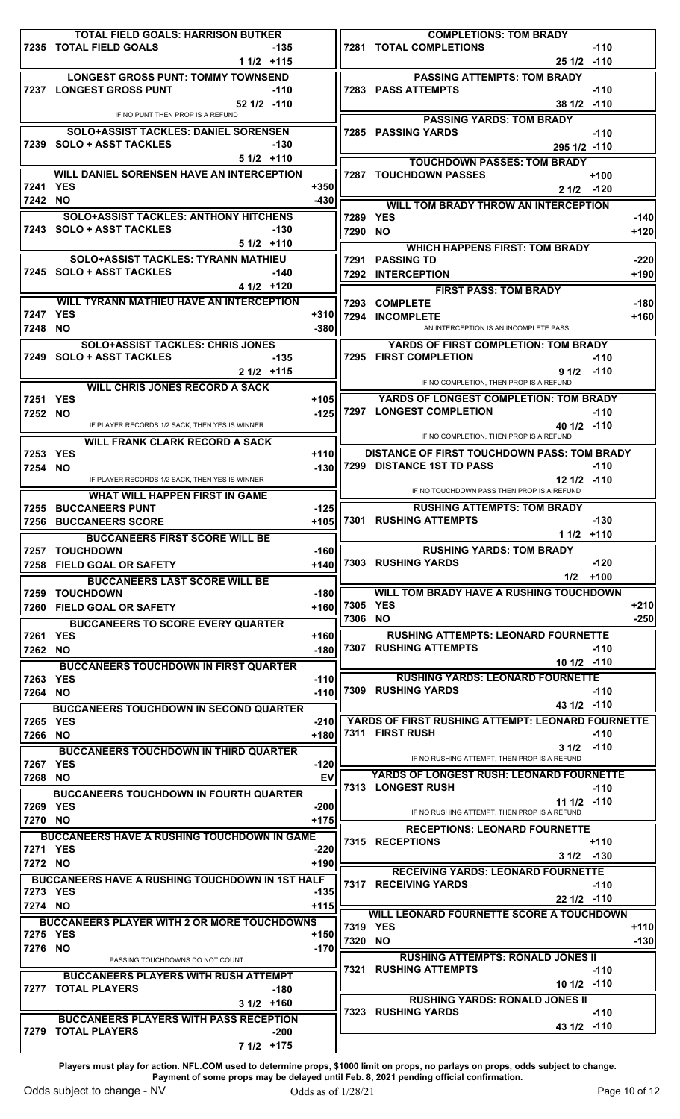|                     | TOTAL FIELD GOALS: HARRISON BUTKER                                          |                  |          | <b>COMPLETIONS: TOM BRADY</b>                                                        |        |
|---------------------|-----------------------------------------------------------------------------|------------------|----------|--------------------------------------------------------------------------------------|--------|
|                     | 7235 TOTAL FIELD GOALS<br>-135                                              |                  |          | 7281 TOTAL COMPLETIONS<br>$-110$                                                     |        |
|                     | $11/2$ +115                                                                 |                  |          | $251/2$ -110                                                                         |        |
|                     | <b>LONGEST GROSS PUNT: TOMMY TOWNSEND</b>                                   |                  |          | <b>PASSING ATTEMPTS: TOM BRADY</b>                                                   |        |
|                     | 7237 LONGEST GROSS PUNT<br>$-110$                                           |                  |          | <b>7283 PASS ATTEMPTS</b><br>$-110$                                                  |        |
|                     | $52 \frac{1}{2}$ -110<br>IF NO PUNT THEN PROP IS A REFUND                   |                  |          | 38 1/2 -110                                                                          |        |
|                     | <b>SOLO+ASSIST TACKLES: DANIEL SORENSEN</b>                                 |                  |          | <b>PASSING YARDS: TOM BRADY</b><br>7285 PASSING YARDS<br>$-110$                      |        |
|                     | 7239 SOLO + ASST TACKLES<br>$-130$                                          |                  |          | 295 1/2 -110                                                                         |        |
|                     | $51/2$ +110                                                                 |                  |          | <b>TOUCHDOWN PASSES: TOM BRADY</b>                                                   |        |
|                     | <b>WILL DANIEL SORENSEN HAVE AN INTERCEPTION</b>                            |                  |          | <b>7287 TOUCHDOWN PASSES</b><br>$+100$                                               |        |
| 7241 YES            |                                                                             | $+350$           |          | 2 1/2 -120                                                                           |        |
| 7242 NO             |                                                                             | $-430$           |          | <b>WILL TOM BRADY THROW AN INTERCEPTION</b>                                          |        |
|                     | <b>SOLO+ASSIST TACKLES: ANTHONY HITCHENS</b>                                |                  | 7289 YES |                                                                                      | $-140$ |
|                     | 7243 SOLO + ASST TACKLES<br>$-130$                                          |                  | 7290 NO  |                                                                                      | $+120$ |
|                     | $51/2$ +110                                                                 |                  |          | <b>WHICH HAPPENS FIRST: TOM BRADY</b>                                                |        |
|                     | <b>SOLO+ASSIST TACKLES: TYRANN MATHIEU</b>                                  |                  |          | 7291 PASSING TD                                                                      | $-220$ |
|                     | 7245 SOLO + ASST TACKLES<br>$-140$                                          |                  |          | 7292 INTERCEPTION                                                                    | $+190$ |
|                     | $41/2$ +120                                                                 |                  |          | <b>FIRST PASS: TOM BRADY</b>                                                         |        |
|                     | WILL TYRANN MATHIEU HAVE AN INTERCEPTION                                    |                  |          | 7293 COMPLETE                                                                        | $-180$ |
| 7247 YES            |                                                                             | $+310$           |          | 7294 INCOMPLETE                                                                      | $+160$ |
| 7248 NO             |                                                                             | $-380$           |          | AN INTERCEPTION IS AN INCOMPLETE PASS                                                |        |
|                     | <b>SOLO+ASSIST TACKLES: CHRIS JONES</b>                                     |                  |          | YARDS OF FIRST COMPLETION: TOM BRADY                                                 |        |
|                     | 7249 SOLO + ASST TACKLES<br>-135                                            |                  |          | 7295 FIRST COMPLETION<br>$-110$                                                      |        |
|                     | $21/2$ +115                                                                 |                  |          | $91/2$ -110<br>IF NO COMPLETION, THEN PROP IS A REFUND                               |        |
|                     | <b>WILL CHRIS JONES RECORD A SACK</b>                                       |                  |          |                                                                                      |        |
| 7251 YES            |                                                                             | $+105$           |          | YARDS OF LONGEST COMPLETION: TOM BRADY<br>7297 LONGEST COMPLETION<br>$-110$          |        |
| 7252 NO             | IF PLAYER RECORDS 1/2 SACK, THEN YES IS WINNER                              | -125             |          | 40 1/2 -110                                                                          |        |
|                     | <b>WILL FRANK CLARK RECORD A SACK</b>                                       |                  |          | IF NO COMPLETION, THEN PROP IS A REFUND                                              |        |
| 7253 YES            |                                                                             | $+110$           |          | <b>DISTANCE OF FIRST TOUCHDOWN PASS: TOM BRADY</b>                                   |        |
| 7254 NO             |                                                                             | $-130$           |          | 7299 DISTANCE 1ST TD PASS<br>$-110$                                                  |        |
|                     | IF PLAYER RECORDS 1/2 SACK, THEN YES IS WINNER                              |                  |          | 12 1/2 -110                                                                          |        |
|                     | <b>WHAT WILL HAPPEN FIRST IN GAME</b>                                       |                  |          | IF NO TOUCHDOWN PASS THEN PROP IS A REFUND                                           |        |
|                     | 7255 BUCCANEERS PUNT                                                        | $-125$           |          | <b>RUSHING ATTEMPTS: TOM BRADY</b>                                                   |        |
|                     | 7256 BUCCANEERS SCORE                                                       |                  |          | +105 7301 RUSHING ATTEMPTS<br>$-130$                                                 |        |
|                     | <b>BUCCANEERS FIRST SCORE WILL BE</b>                                       |                  |          | $11/2$ +110                                                                          |        |
|                     |                                                                             |                  |          |                                                                                      |        |
|                     | 7257 TOUCHDOWN                                                              | $-160$           |          | <b>RUSHING YARDS: TOM BRADY</b>                                                      |        |
|                     | 7258 FIELD GOAL OR SAFETY                                                   | $+140$           |          | 7303 RUSHING YARDS<br>$-120$                                                         |        |
|                     | <b>BUCCANEERS LAST SCORE WILL BE</b>                                        |                  |          | $1/2$ +100                                                                           |        |
| 7259                | <b>TOUCHDOWN</b>                                                            | $-180$           |          | <b>WILL TOM BRADY HAVE A RUSHING TOUCHDOWN</b>                                       |        |
|                     | 7260 FIELD GOAL OR SAFETY                                                   | +160             | 7305     | <b>YES</b>                                                                           | $+210$ |
|                     | <b>BUCCANEERS TO SCORE EVERY QUARTER</b>                                    |                  | 7306 NO  |                                                                                      | $-250$ |
| 7261 YES            |                                                                             | $+160$           |          | <b>RUSHING ATTEMPTS: LEONARD FOURNETTE</b><br><b>7307 RUSHING ATTEMPTS</b><br>$-110$ |        |
| 7262 NO             |                                                                             | $-180$           |          | $101/2$ -110                                                                         |        |
|                     | <b>BUCCANEERS TOUCHDOWN IN FIRST QUARTER</b>                                |                  |          |                                                                                      |        |
| 7263 YES<br>7264 NO |                                                                             | $-110$<br>$-110$ |          | <b>RUSHING YARDS: LEONARD FOURNETTE</b><br>7309 RUSHING YARDS<br>$-110$              |        |
|                     |                                                                             |                  |          | 43 1/2 -110                                                                          |        |
| 7265 YES            | <b>BUCCANEERS TOUCHDOWN IN SECOND QUARTER</b>                               | $-210$           |          | YARDS OF FIRST RUSHING ATTEMPT: LEONARD FOURNETTE                                    |        |
| 7266 NO             |                                                                             | +180             |          | 7311 FIRST RUSH<br>$-110$                                                            |        |
|                     | <b>BUCCANEERS TOUCHDOWN IN THIRD QUARTER</b>                                |                  |          | $31/2$ -110                                                                          |        |
| 7267 YES            |                                                                             | $-120$           |          | IF NO RUSHING ATTEMPT, THEN PROP IS A REFUND                                         |        |
| 7268 NO             |                                                                             | EV               |          | <b>YARDS OF LONGEST RUSH: LEONARD FOURNETTE</b>                                      |        |
|                     | <b>BUCCANEERS TOUCHDOWN IN FOURTH QUARTER</b>                               |                  |          | 7313 LONGEST RUSH<br>$-110$                                                          |        |
| 7269 YES            |                                                                             | $-200$           |          | 11 1/2 -110                                                                          |        |
| 7270 NO             |                                                                             | $+175$           |          | IF NO RUSHING ATTEMPT, THEN PROP IS A REFUND                                         |        |
|                     | <b>BUCCANEERS HAVE A RUSHING TOUCHDOWN IN GAME</b>                          |                  |          | <b>RECEPTIONS: LEONARD FOURNETTE</b><br>7315 RECEPTIONS<br>$+110$                    |        |
| 7271 YES            |                                                                             | $-220$           |          | $31/2$ -130                                                                          |        |
| 7272 NO             |                                                                             | $+190$           |          | <b>RECEIVING YARDS: LEONARD FOURNETTE</b>                                            |        |
|                     | <b>BUCCANEERS HAVE A RUSHING TOUCHDOWN IN 1ST HALF</b>                      |                  |          | 7317 RECEIVING YARDS<br>$-110$                                                       |        |
| 7273 YES            |                                                                             | $-135$           |          | 22 1/2 -110                                                                          |        |
| 7274 NO             |                                                                             | $+115$           |          | WILL LEONARD FOURNETTE SCORE A TOUCHDOWN                                             |        |
|                     | <b>BUCCANEERS PLAYER WITH 2 OR MORE TOUCHDOWNS</b>                          |                  | 7319 YES |                                                                                      | $+110$ |
| 7275 YES            |                                                                             | +150             | 7320 NO  |                                                                                      | $-130$ |
| 7276 NO             | PASSING TOUCHDOWNS DO NOT COUNT                                             | $-170$           |          | <b>RUSHING ATTEMPTS: RONALD JONES II</b>                                             |        |
|                     |                                                                             |                  | 7321     | <b>RUSHING ATTEMPTS</b><br>$-110$                                                    |        |
|                     | <b>BUCCANEERS PLAYERS WITH RUSH ATTEMPT</b><br>7277 TOTAL PLAYERS<br>$-180$ |                  |          | 10 1/2 -110                                                                          |        |
|                     | $31/2$ +160                                                                 |                  |          | <b>RUSHING YARDS: RONALD JONES II</b>                                                |        |
|                     | <b>BUCCANEERS PLAYERS WITH PASS RECEPTION</b>                               |                  |          | <b>7323 RUSHING YARDS</b><br>$-110$                                                  |        |
|                     | 7279 TOTAL PLAYERS<br>$-200$                                                |                  |          | 43 1/2 -110                                                                          |        |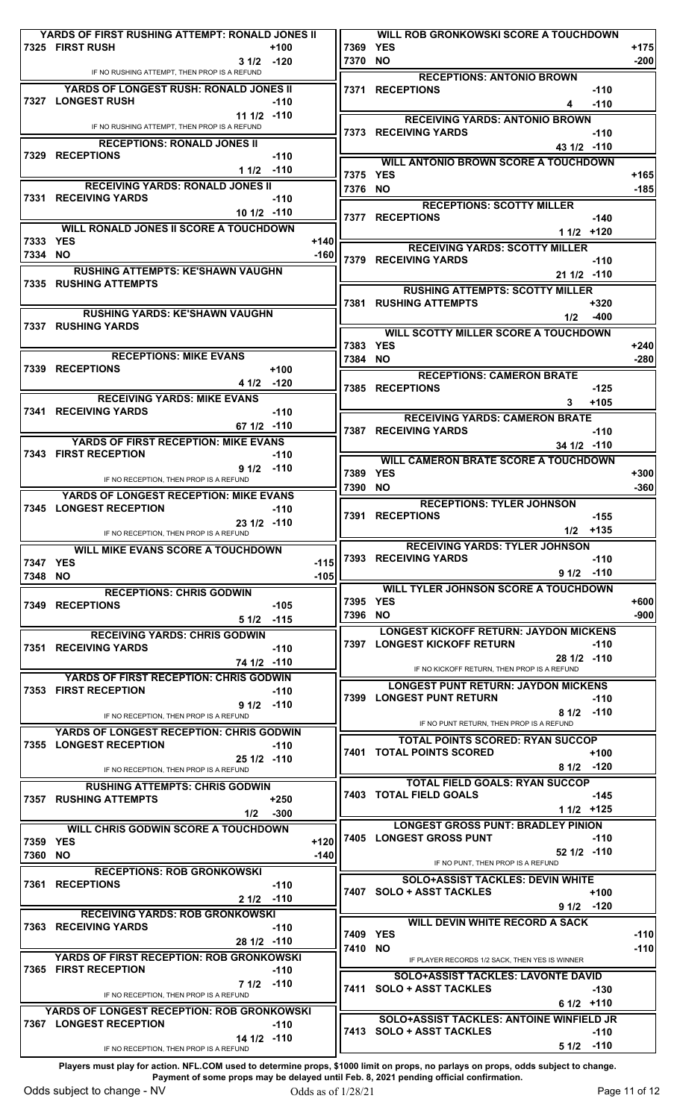|          | YARDS OF FIRST RUSHING ATTEMPT: RONALD JONES II                       |              |                  |        |          | WILL ROB GRONKOWSKI SCORE A TOUCHDOWN                                                |                  |
|----------|-----------------------------------------------------------------------|--------------|------------------|--------|----------|--------------------------------------------------------------------------------------|------------------|
|          | 7325 FIRST RUSH                                                       |              | $+100$           |        | 7369 YES |                                                                                      | $+175$           |
|          | IF NO RUSHING ATTEMPT, THEN PROP IS A REFUND                          | $31/2$ -120  |                  |        | 7370 NO  |                                                                                      | $-200$           |
|          | YARDS OF LONGEST RUSH: RONALD JONES II                                |              |                  |        |          | <b>RECEPTIONS: ANTONIO BROWN</b>                                                     |                  |
|          | 7327 LONGEST RUSH                                                     |              | -110             |        |          | 7371 RECEPTIONS<br>$-110$<br>$-110$                                                  |                  |
|          |                                                                       | $111/2$ -110 |                  |        |          | 4                                                                                    |                  |
|          | IF NO RUSHING ATTEMPT, THEN PROP IS A REFUND                          |              |                  |        |          | <b>RECEIVING YARDS: ANTONIO BROWN</b><br>7373 RECEIVING YARDS<br>$-110$              |                  |
|          | <b>RECEPTIONS: RONALD JONES II</b>                                    |              |                  |        |          | 43 1/2 -110                                                                          |                  |
|          | 7329 RECEPTIONS                                                       |              | $-110$           |        |          | <b>WILL ANTONIO BROWN SCORE A TOUCHDOWN</b>                                          |                  |
|          |                                                                       | $11/2$ -110  |                  |        | 7375 YES |                                                                                      | $+165$           |
|          | <b>RECEIVING YARDS: RONALD JONES II</b>                               |              |                  |        | 7376 NO  |                                                                                      | $-185$           |
|          | 7331 RECEIVING YARDS                                                  |              | $-110$           |        |          | <b>RECEPTIONS: SCOTTY MILLER</b>                                                     |                  |
|          |                                                                       | $101/2$ -110 |                  |        |          | 7377 RECEPTIONS<br>$-140$                                                            |                  |
|          | <b>WILL RONALD JONES II SCORE A TOUCHDOWN</b>                         |              |                  |        |          | $11/2$ +120                                                                          |                  |
| 7333 YES |                                                                       |              |                  | $+140$ |          | <b>RECEIVING YARDS: SCOTTY MILLER</b>                                                |                  |
| 7334 NO  |                                                                       |              |                  | $-160$ |          | 7379 RECEIVING YARDS<br>$-110$                                                       |                  |
|          | <b>RUSHING ATTEMPTS: KE'SHAWN VAUGHN</b>                              |              |                  |        |          | 21 1/2 -110                                                                          |                  |
|          | <b>7335 RUSHING ATTEMPTS</b>                                          |              |                  |        |          | <b>RUSHING ATTEMPTS: SCOTTY MILLER</b>                                               |                  |
|          |                                                                       |              |                  |        |          | <b>7381 RUSHING ATTEMPTS</b><br>$+320$                                               |                  |
|          | <b>RUSHING YARDS: KE'SHAWN VAUGHN</b>                                 |              |                  |        |          | 1/2<br>$-400$                                                                        |                  |
|          | 7337 RUSHING YARDS                                                    |              |                  |        |          | <b>WILL SCOTTY MILLER SCORE A TOUCHDOWN</b>                                          |                  |
|          |                                                                       |              |                  |        | 7383 YES |                                                                                      | $+240$           |
|          | <b>RECEPTIONS: MIKE EVANS</b>                                         |              |                  |        | 7384 NO  |                                                                                      | $-280$           |
|          | 7339 RECEPTIONS                                                       |              | $+100$<br>$-120$ |        |          | <b>RECEPTIONS: CAMERON BRATE</b>                                                     |                  |
|          |                                                                       | 4 1/2        |                  |        |          | 7385 RECEPTIONS<br>$-125$                                                            |                  |
|          | <b>RECEIVING YARDS: MIKE EVANS</b><br>7341 RECEIVING YARDS            |              | $-110$           |        |          | $+105$<br>3.                                                                         |                  |
|          |                                                                       | 67 1/2 -110  |                  |        |          | <b>RECEIVING YARDS: CAMERON BRATE</b>                                                |                  |
|          | <b>YARDS OF FIRST RECEPTION: MIKE EVANS</b>                           |              |                  |        |          | 7387 RECEIVING YARDS<br>$-110$                                                       |                  |
|          | 7343 FIRST RECEPTION                                                  |              | $-110$           |        |          | $341/2$ -110                                                                         |                  |
|          |                                                                       | $91/2$ -110  |                  |        |          | <b>WILL CAMERON BRATE SCORE A TOUCHDOWN</b>                                          |                  |
|          | IF NO RECEPTION, THEN PROP IS A REFUND                                |              |                  |        | 7389     | <b>YES</b>                                                                           | $+300$           |
|          | YARDS OF LONGEST RECEPTION: MIKE EVANS                                |              |                  |        | 7390 NO  |                                                                                      | $-360$           |
|          | 7345 LONGEST RECEPTION                                                |              | $-110$           |        |          | <b>RECEPTIONS: TYLER JOHNSON</b><br>7391 RECEPTIONS<br>$-155$                        |                  |
|          |                                                                       | 23 1/2 -110  |                  |        |          | 1/2<br>+135                                                                          |                  |
|          | IF NO RECEPTION, THEN PROP IS A REFUND                                |              |                  |        |          |                                                                                      |                  |
|          |                                                                       |              |                  |        |          |                                                                                      |                  |
|          | WILL MIKE EVANS SCORE A TOUCHDOWN                                     |              |                  |        |          | <b>RECEIVING YARDS: TYLER JOHNSON</b>                                                |                  |
| 7347 YES |                                                                       |              |                  | $-115$ |          | 7393 RECEIVING YARDS<br>$-110$<br>$91/2$ -110                                        |                  |
| 7348 NO  |                                                                       |              |                  | $-105$ |          |                                                                                      |                  |
|          | <b>RECEPTIONS: CHRIS GODWIN</b>                                       |              |                  |        | 7395 YES | <b>WILL TYLER JOHNSON SCORE A TOUCHDOWN</b>                                          | $+600$           |
|          | 7349 RECEPTIONS                                                       |              | -105             |        | 7396 NO  |                                                                                      | $-900$           |
|          |                                                                       | 51/2         | $-115$           |        |          | <b>LONGEST KICKOFF RETURN: JAYDON MICKENS</b>                                        |                  |
|          | <b>RECEIVING YARDS: CHRIS GODWIN</b><br>7351 RECEIVING YARDS          |              |                  |        |          | 7397 LONGEST KICKOFF RETURN<br>$-110$                                                |                  |
|          |                                                                       | 74 1/2 -110  | $-110$           |        |          | $281/2$ -110                                                                         |                  |
|          |                                                                       |              |                  |        |          | IF NO KICKOFF RETURN, THEN PROP IS A REFUND                                          |                  |
|          | YARDS OF FIRST RECEPTION: CHRIS GODWIN<br><b>7353 FIRST RECEPTION</b> |              | $-110$           |        |          | <b>LONGEST PUNT RETURN: JAYDON MICKENS</b>                                           |                  |
|          |                                                                       | $91/2$ -110  |                  |        |          | 7399 LONGEST PUNT RETURN<br>$-110$                                                   |                  |
|          | IF NO RECEPTION, THEN PROP IS A REFUND                                |              |                  |        |          | $81/2$ -110<br>IF NO PUNT RETURN, THEN PROP IS A REFUND                              |                  |
|          | <b>YARDS OF LONGEST RECEPTION: CHRIS GODWIN</b>                       |              |                  |        |          |                                                                                      |                  |
|          | 7355 LONGEST RECEPTION                                                |              | $-110$           |        |          | <b>TOTAL POINTS SCORED: RYAN SUCCOP</b><br><b>7401 TOTAL POINTS SCORED</b><br>$+100$ |                  |
|          |                                                                       | 25 1/2 -110  |                  |        |          | 8 1/2 -120                                                                           |                  |
|          | IF NO RECEPTION, THEN PROP IS A REFUND                                |              |                  |        |          | <b>TOTAL FIELD GOALS: RYAN SUCCOP</b>                                                |                  |
|          | <b>RUSHING ATTEMPTS: CHRIS GODWIN</b>                                 |              |                  |        |          | <b>7403 TOTAL FIELD GOALS</b><br>$-145$                                              |                  |
|          | <b>7357 RUSHING ATTEMPTS</b>                                          | 1/2          | $+250$<br>-300   |        |          | $11/2$ +125                                                                          |                  |
|          |                                                                       |              |                  |        |          | <b>LONGEST GROSS PUNT: BRADLEY PINION</b>                                            |                  |
| 7359 YES | <b>WILL CHRIS GODWIN SCORE A TOUCHDOWN</b>                            |              |                  | $+120$ |          | 7405 LONGEST GROSS PUNT<br>$-110$                                                    |                  |
| 7360 NO  |                                                                       |              |                  | $-140$ |          | $52 \frac{1}{2}$ -110                                                                |                  |
|          | <b>RECEPTIONS: ROB GRONKOWSKI</b>                                     |              |                  |        |          | IF NO PUNT, THEN PROP IS A REFUND                                                    |                  |
|          | <b>7361 RECEPTIONS</b>                                                |              | $-110$           |        |          | <b>SOLO+ASSIST TACKLES: DEVIN WHITE</b>                                              |                  |
|          |                                                                       | 2 1/2 -110   |                  |        |          | 7407 SOLO + ASST TACKLES<br>$+100$                                                   |                  |
|          | <b>RECEIVING YARDS: ROB GRONKOWSKI</b>                                |              |                  |        |          | $91/2$ -120                                                                          |                  |
|          | 7363 RECEIVING YARDS                                                  |              | $-110$           |        | 7409 YES | <b>WILL DEVIN WHITE RECORD A SACK</b>                                                |                  |
|          |                                                                       | 28 1/2 -110  |                  |        | 7410 NO  |                                                                                      | $-110$<br>$-110$ |
|          | <b>YARDS OF FIRST RECEPTION: ROB GRONKOWSKI</b>                       |              |                  |        |          | IF PLAYER RECORDS 1/2 SACK, THEN YES IS WINNER                                       |                  |
|          | 7365 FIRST RECEPTION                                                  |              | $-110$           |        |          | SOLO+ASSIST TACKLES: LAVONTE DAVID                                                   |                  |
|          | IF NO RECEPTION, THEN PROP IS A REFUND                                | $71/2$ -110  |                  |        |          | 7411 SOLO + ASST TACKLES<br>$-130$                                                   |                  |
|          |                                                                       |              |                  |        |          | 6 1/2 +110                                                                           |                  |
|          | YARDS OF LONGEST RECEPTION: ROB GRONKOWSKI<br>7367 LONGEST RECEPTION  |              | -110             |        |          | <b>SOLO+ASSIST TACKLES: ANTOINE WINFIELD JR</b>                                      |                  |
|          |                                                                       | 14 1/2 -110  |                  |        |          | 7413 SOLO + ASST TACKLES<br>$-110$<br>$-110$<br>51/2                                 |                  |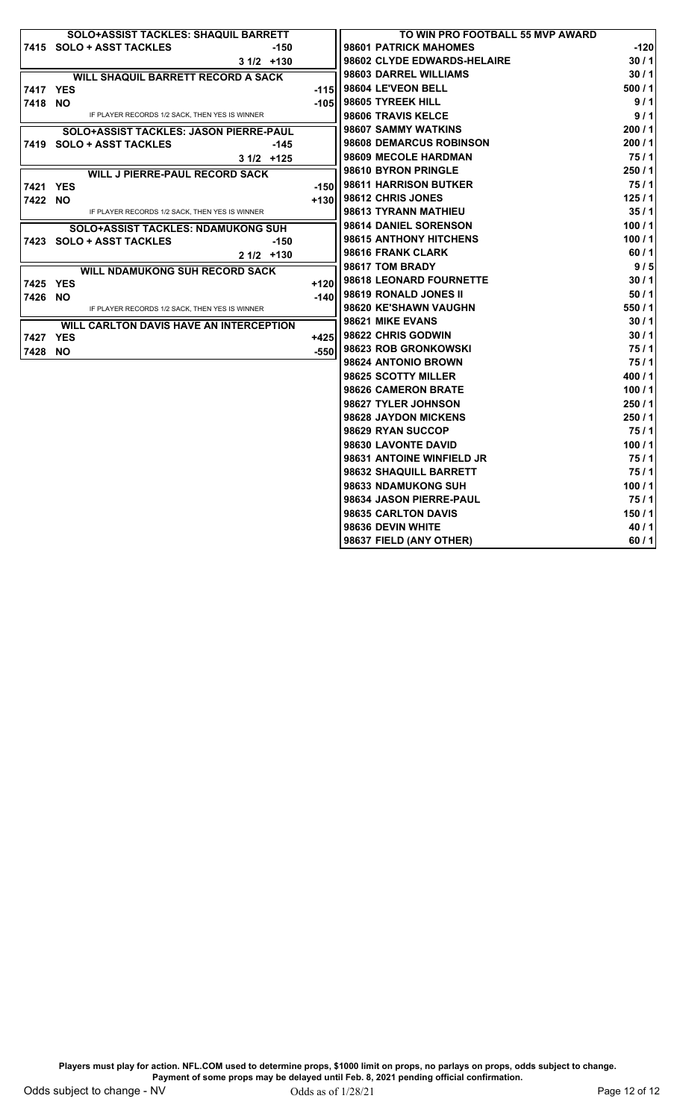|          | SOLO+ASSIST TACKLES: SHAQUIL BARRETT           |        | TO WIN PRO FOOTBALL 55 MVP AWARD |        |
|----------|------------------------------------------------|--------|----------------------------------|--------|
|          | 7415 SOLO + ASST TACKLES<br>-150               |        | 98601 PATRICK MAHOMES            | $-120$ |
|          | $31/2$ +130                                    |        | 98602 CLYDE EDWARDS-HELAIRE      | 30/1   |
|          | WILL SHAQUIL BARRETT RECORD A SACK             |        | 98603 DARREL WILLIAMS            | 30/1   |
| 7417 YES |                                                |        | -115   98604 LE'VEON BELL        | 500/1  |
| 7418 NO  |                                                |        | -105   98605 TYREEK HILL         | 9/1    |
|          | IF PLAYER RECORDS 1/2 SACK, THEN YES IS WINNER |        | 98606 TRAVIS KELCE               | 9/1    |
|          | SOLO+ASSIST TACKLES: JASON PIERRE-PAUL         |        | 98607 SAMMY WATKINS              | 200/1  |
|          | 7419 SOLO + ASST TACKLES<br>-145               |        | 98608 DEMARCUS ROBINSON          | 200/1  |
|          | $31/2$ +125                                    |        | 98609 MECOLE HARDMAN             | 75/1   |
|          | <b>WILL J PIERRE-PAUL RECORD SACK</b>          |        | 98610 BYRON PRINGLE              | 250/1  |
| 7421 YES |                                                | -150   | l 98611 HARRISON BUTKER          | 75/1   |
| 7422 NO  |                                                | +130   | <b>98612 CHRIS JONES</b>         | 125/1  |
|          | IF PLAYER RECORDS 1/2 SACK, THEN YES IS WINNER |        | 98613 TYRANN MATHIEU             | 35/1   |
|          | <b>SOLO+ASSIST TACKLES: NDAMUKONG SUH</b>      |        | 98614 DANIEL SORENSON            | 100/1  |
|          | 7423 SOLO + ASST TACKLES<br>-150               |        | 98615 ANTHONY HITCHENS           | 100/1  |
|          | $21/2$ +130                                    |        | 98616 FRANK CLARK                | 60/1   |
|          | <b>WILL NDAMUKONG SUH RECORD SACK</b>          |        | 98617 TOM BRADY                  | 9/5    |
| 7425 YES |                                                | $+120$ | 98618 LEONARD FOURNETTE          | 30/1   |
| 7426 NO  |                                                | $-140$ | 98619 RONALD JONES II            | 50/1   |
|          | IF PLAYER RECORDS 1/2 SACK, THEN YES IS WINNER |        | 98620 KE'SHAWN VAUGHN            | 550/1  |
|          | WILL CARLTON DAVIS HAVE AN INTERCEPTION        |        | 98621 MIKE EVANS                 | 30/1   |
| 7427 YES |                                                | $+425$ | 98622 CHRIS GODWIN               | 30/1   |
| 7428 NO  |                                                | -550   | 98623 ROB GRONKOWSKI             | 75/1   |
|          |                                                |        | 98624 ANTONIO BROWN              | 75/1   |
|          |                                                |        | 98625 SCOTTY MILLER              | 400/1  |
|          |                                                |        | 98626 CAMERON BRATE              | 100/1  |
|          |                                                |        | 98627 TYLER JOHNSON              | 250/1  |
|          |                                                |        | 98628 JAYDON MICKENS             | 250/1  |
|          |                                                |        | 98629 RYAN SUCCOP                | 75/1   |
|          |                                                |        | 98630 LAVONTE DAVID              | 100/1  |
|          |                                                |        | 98631 ANTOINE WINFIELD JR        | 75/1   |
|          |                                                |        | 98632 SHAQUILL BARRETT           | 75/1   |
|          |                                                |        | 98633 NDAMUKONG SUH              | 100/1  |
|          |                                                |        | 98634 JASON PIERRE-PAUL          | 75/1   |
|          |                                                |        | 98635 CARLTON DAVIS              | 150/1  |
|          |                                                |        | 98636 DEVIN WHITE                | 40/1   |
|          |                                                |        | 98637 FIELD (ANY OTHER)          | 60/1   |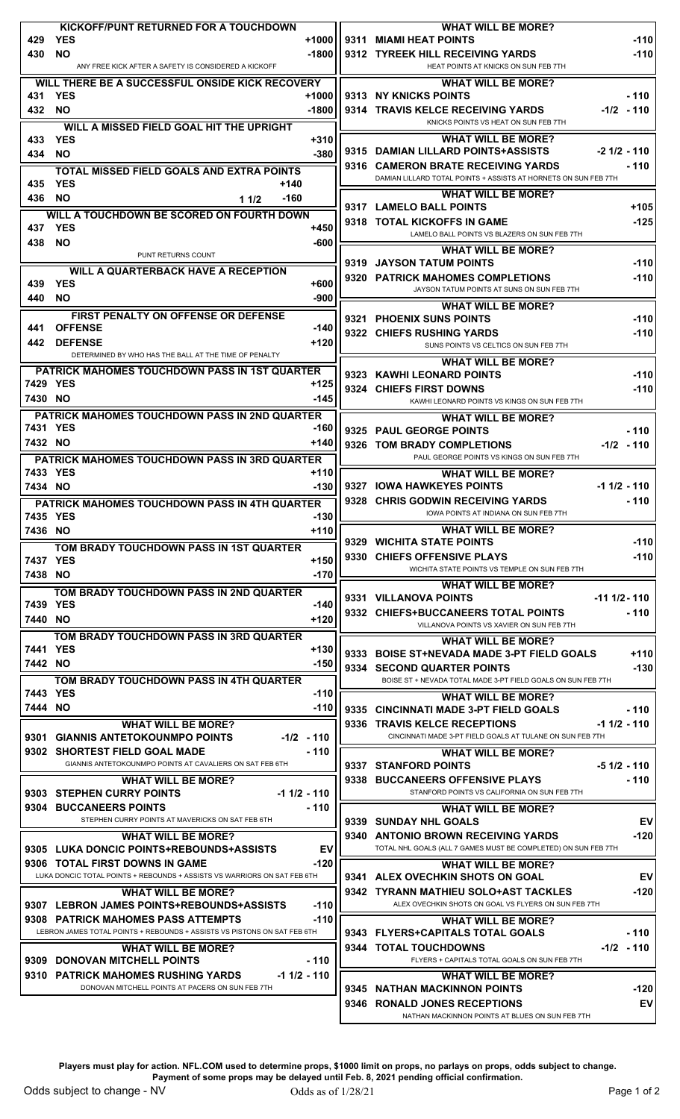| KICKOFF/PUNT RETURNED FOR A TOUCHDOWN<br>429<br><b>YES</b>                                             | <b>WHAT WILL BE MORE?</b>                                                                                     |
|--------------------------------------------------------------------------------------------------------|---------------------------------------------------------------------------------------------------------------|
| +1000<br>430<br><b>NO</b><br>$-1800$                                                                   | 9311 MIAMI HEAT POINTS<br>$-110$<br>9312 TYREEK HILL RECEIVING YARDS<br>$-110$                                |
| ANY FREE KICK AFTER A SAFETY IS CONSIDERED A KICKOFF                                                   | HEAT POINTS AT KNICKS ON SUN FEB 7TH                                                                          |
| WILL THERE BE A SUCCESSFUL ONSIDE KICK RECOVERY                                                        | <b>WHAT WILL BE MORE?</b>                                                                                     |
| 431<br><b>YES</b><br>$+1000$                                                                           | 9313 NY KNICKS POINTS<br>- 110                                                                                |
| <b>NO</b><br>432<br>$-1800$                                                                            | 9314 TRAVIS KELCE RECEIVING YARDS<br>$-1/2 - 110$<br>KNICKS POINTS VS HEAT ON SUN FEB 7TH                     |
| WILL A MISSED FIELD GOAL HIT THE UPRIGHT<br><b>YES</b><br>$+310$<br>433                                | <b>WHAT WILL BE MORE?</b>                                                                                     |
| $-380$<br><b>NO</b><br>434                                                                             | 9315 DAMIAN LILLARD POINTS+ASSISTS<br>$-2$ 1/2 $-$ 110                                                        |
| <b>TOTAL MISSED FIELD GOALS AND EXTRA POINTS</b>                                                       | 9316 CAMERON BRATE RECEIVING YARDS<br>$-110$                                                                  |
| <b>YES</b><br>435<br>$+140$                                                                            | DAMIAN LILLARD TOTAL POINTS + ASSISTS AT HORNETS ON SUN FEB 7TH                                               |
| <b>NO</b><br>$-160$<br>436<br>11/2                                                                     | <b>WHAT WILL BE MORE?</b><br>9317 LAMELO BALL POINTS<br>$+105$                                                |
| WILL A TOUCHDOWN BE SCORED ON FOURTH DOWN                                                              | 9318 TOTAL KICKOFFS IN GAME<br>$-125$                                                                         |
| <b>YES</b><br>437<br>+450<br>438<br><b>NO</b><br>$-600$                                                | LAMELO BALL POINTS VS BLAZERS ON SUN FEB 7TH                                                                  |
| PUNT RETURNS COUNT                                                                                     | <b>WHAT WILL BE MORE?</b>                                                                                     |
| <b>WILL A QUARTERBACK HAVE A RECEPTION</b>                                                             | 9319 JAYSON TATUM POINTS<br>$-110$                                                                            |
| 439<br><b>YES</b><br>$+600$                                                                            | 9320 PATRICK MAHOMES COMPLETIONS<br>$-110$<br>JAYSON TATUM POINTS AT SUNS ON SUN FEB 7TH                      |
| <b>NO</b><br>$-900$<br>440                                                                             | <b>WHAT WILL BE MORE?</b>                                                                                     |
| FIRST PENALTY ON OFFENSE OR DEFENSE                                                                    | 9321 PHOENIX SUNS POINTS<br>$-110$                                                                            |
| <b>OFFENSE</b><br>$-140$<br>441<br><b>DEFENSE</b><br>$+120$<br>442                                     | 9322 CHIEFS RUSHING YARDS<br>$-110$                                                                           |
| DETERMINED BY WHO HAS THE BALL AT THE TIME OF PENALTY                                                  | SUNS POINTS VS CELTICS ON SUN FEB 7TH                                                                         |
| <b>PATRICK MAHOMES TOUCHDOWN PASS IN 1ST QUARTER</b>                                                   | <b>WHAT WILL BE MORE?</b><br>9323 KAWHI LEONARD POINTS<br>$-110$                                              |
| 7429 YES<br>$+125$                                                                                     | 9324 CHIEFS FIRST DOWNS<br>$-110$                                                                             |
| 7430 NO<br>-145                                                                                        | KAWHI LEONARD POINTS VS KINGS ON SUN FEB 7TH                                                                  |
| PATRICK MAHOMES TOUCHDOWN PASS IN 2ND QUARTER                                                          | <b>WHAT WILL BE MORE?</b>                                                                                     |
| 7431 YES<br>-160                                                                                       | 9325 PAUL GEORGE POINTS<br>- 110                                                                              |
| 7432 NO<br>$+140$                                                                                      | 9326 TOM BRADY COMPLETIONS<br>$-1/2 - 110$                                                                    |
| <b>PATRICK MAHOMES TOUCHDOWN PASS IN 3RD QUARTER</b><br>7433 YES<br>$+110$                             | PAUL GEORGE POINTS VS KINGS ON SUN FEB 7TH                                                                    |
| 7434 NO<br>$-130$                                                                                      | <b>WHAT WILL BE MORE?</b><br>9327 IOWA HAWKEYES POINTS<br>$-1$ 1/2 $-$ 110                                    |
| PATRICK MAHOMES TOUCHDOWN PASS IN 4TH QUARTER                                                          | 9328<br><b>CHRIS GODWIN RECEIVING YARDS</b><br>- 110                                                          |
| 7435 YES<br>-130                                                                                       | IOWA POINTS AT INDIANA ON SUN FEB 7TH                                                                         |
| 7436 NO<br>$+110$                                                                                      | <b>WHAT WILL BE MORE?</b>                                                                                     |
| TOM BRADY TOUCHDOWN PASS IN 1ST QUARTER                                                                | 9329 WICHITA STATE POINTS<br>$-110$                                                                           |
| 7437 YES<br>$+150$                                                                                     | 9330 CHIEFS OFFENSIVE PLAYS<br>$-110$<br>WICHITA STATE POINTS VS TEMPLE ON SUN FEB 7TH                        |
| 7438 NO<br>$-170$                                                                                      | <b>WHAT WILL BE MORE?</b>                                                                                     |
| TOM BRADY TOUCHDOWN PASS IN 2ND QUARTER<br>7439 YES<br>$-140$                                          | 9331 VILLANOVA POINTS<br>$-11$ $1/2 - 110$                                                                    |
| 7440 NO<br>$+120$                                                                                      | 9332 CHIEFS+BUCCANEERS TOTAL POINTS<br>- 110                                                                  |
| TOM BRADY TOUCHDOWN PASS IN 3RD QUARTER                                                                | VILLANOVA POINTS VS XAVIER ON SUN FEB 7TH                                                                     |
| 7441 YES<br>$+130$                                                                                     | <b>WHAT WILL BE MORE?</b><br>9333 BOISE ST+NEVADA MADE 3-PT FIELD GOALS<br>$+110$                             |
| 7442 NO<br>-150                                                                                        | 9334 SECOND QUARTER POINTS<br>$-130$                                                                          |
| TOM BRADY TOUCHDOWN PASS IN 4TH QUARTER                                                                | BOISE ST + NEVADA TOTAL MADE 3-PT FIELD GOALS ON SUN FEB 7TH                                                  |
| 7443 YES<br>$-110$                                                                                     | <b>WHAT WILL BE MORE?</b>                                                                                     |
| 7444 NO<br>-110                                                                                        | 9335 CINCINNATI MADE 3-PT FIELD GOALS<br>- 110                                                                |
| <b>WHAT WILL BE MORE?</b><br>9301 GIANNIS ANTETOKOUNMPO POINTS<br>$-1/2 - 110$                         | 9336 TRAVIS KELCE RECEPTIONS<br>$-1$ 1/2 $-$ 110<br>CINCINNATI MADE 3-PT FIELD GOALS AT TULANE ON SUN FEB 7TH |
| 9302 SHORTEST FIELD GOAL MADE<br>- 110                                                                 | <b>WHAT WILL BE MORE?</b>                                                                                     |
| GIANNIS ANTETOKOUNMPO POINTS AT CAVALIERS ON SAT FEB 6TH                                               | 9337 STANFORD POINTS<br>$-51/2 - 110$                                                                         |
| <b>WHAT WILL BE MORE?</b>                                                                              | 9338 BUCCANEERS OFFENSIVE PLAYS<br>- 110                                                                      |
| 9303 STEPHEN CURRY POINTS<br>$-1$ 1/2 $-$ 110                                                          | STANFORD POINTS VS CALIFORNIA ON SUN FEB 7TH                                                                  |
| 9304 BUCCANEERS POINTS<br>- 110<br>STEPHEN CURRY POINTS AT MAVERICKS ON SAT FEB 6TH                    | <b>WHAT WILL BE MORE?</b><br>9339 SUNDAY NHL GOALS<br>EV                                                      |
| <b>WHAT WILL BE MORE?</b>                                                                              | 9340 ANTONIO BROWN RECEIVING YARDS<br>$-120$                                                                  |
| 9305 LUKA DONCIC POINTS+REBOUNDS+ASSISTS<br>EV                                                         | TOTAL NHL GOALS (ALL 7 GAMES MUST BE COMPLETED) ON SUN FEB 7TH                                                |
| 9306 TOTAL FIRST DOWNS IN GAME<br>$-120$                                                               | <b>WHAT WILL BE MORE?</b>                                                                                     |
| LUKA DONCIC TOTAL POINTS + REBOUNDS + ASSISTS VS WARRIORS ON SAT FEB 6TH                               | 9341 ALEX OVECHKIN SHOTS ON GOAL<br>EV                                                                        |
| <b>WHAT WILL BE MORE?</b>                                                                              | 9342 TYRANN MATHIEU SOLO+AST TACKLES<br>$-120$<br>ALEX OVECHKIN SHOTS ON GOAL VS FLYERS ON SUN FEB 7TH        |
| 9307 LEBRON JAMES POINTS+REBOUNDS+ASSISTS<br>$-110$<br>9308 PATRICK MAHOMES PASS ATTEMPTS<br>$-110$    | <b>WHAT WILL BE MORE?</b>                                                                                     |
| LEBRON JAMES TOTAL POINTS + REBOUNDS + ASSISTS VS PISTONS ON SAT FEB 6TH                               | 9343 FLYERS+CAPITALS TOTAL GOALS<br>- 110                                                                     |
| <b>WHAT WILL BE MORE?</b>                                                                              | 9344 TOTAL TOUCHDOWNS<br>-1/2 - 110                                                                           |
| 9309 DONOVAN MITCHELL POINTS<br>$-110$                                                                 | FLYERS + CAPITALS TOTAL GOALS ON SUN FEB 7TH                                                                  |
| 9310 PATRICK MAHOMES RUSHING YARDS<br>-1 1/2 - 110<br>DONOVAN MITCHELL POINTS AT PACERS ON SUN FEB 7TH | <b>WHAT WILL BE MORE?</b>                                                                                     |
|                                                                                                        | 9345 NATHAN MACKINNON POINTS<br>$-120$<br>9346 RONALD JONES RECEPTIONS<br>EV                                  |
|                                                                                                        | NATHAN MACKINNON POINTS AT BLUES ON SUN FEB 7TH                                                               |

**Payment of some props may be delayed until Feb. 8, 2021 pending official confirmation.**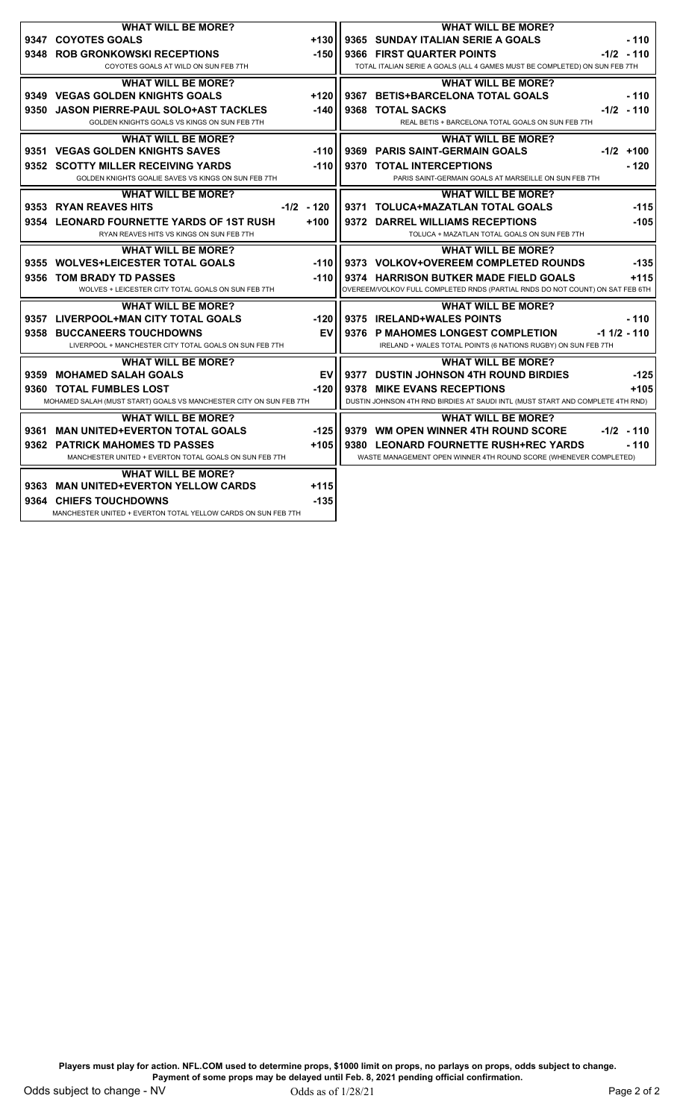| <b>WHAT WILL BE MORE?</b>                                          |              |                                                                            | <b>WHAT WILL BE MORE?</b>                                                      |  |                  |  |
|--------------------------------------------------------------------|--------------|----------------------------------------------------------------------------|--------------------------------------------------------------------------------|--|------------------|--|
| 9347 COYOTES GOALS                                                 | $+130$       |                                                                            | 9365 SUNDAY ITALIAN SERIE A GOALS                                              |  | $-110$           |  |
| 9348 ROB GRONKOWSKI RECEPTIONS                                     | $-150$       | 9366 FIRST QUARTER POINTS                                                  |                                                                                |  | $-1/2 - 110$     |  |
| COYOTES GOALS AT WILD ON SUN FEB 7TH                               |              | TOTAL ITALIAN SERIE A GOALS (ALL 4 GAMES MUST BE COMPLETED) ON SUN FEB 7TH |                                                                                |  |                  |  |
| <b>WHAT WILL BE MORE?</b>                                          |              |                                                                            | <b>WHAT WILL BE MORE?</b>                                                      |  |                  |  |
| 9349 VEGAS GOLDEN KNIGHTS GOALS                                    | $+120$       |                                                                            | 9367 BETIS+BARCELONA TOTAL GOALS                                               |  | $-110$           |  |
| 9350 JASON PIERRE-PAUL SOLO+AST TACKLES                            | $-140$       |                                                                            | 9368 TOTAL SACKS                                                               |  | $-1/2 - 110$     |  |
| GOLDEN KNIGHTS GOALS VS KINGS ON SUN FEB 7TH                       |              |                                                                            |                                                                                |  |                  |  |
|                                                                    |              | REAL BETIS + BARCELONA TOTAL GOALS ON SUN FEB 7TH                          |                                                                                |  |                  |  |
| <b>WHAT WILL BE MORE?</b>                                          |              |                                                                            | <b>WHAT WILL BE MORE?</b>                                                      |  |                  |  |
| 9351 VEGAS GOLDEN KNIGHTS SAVES                                    | $-110$       |                                                                            | 9369 PARIS SAINT-GERMAIN GOALS                                                 |  | $-1/2$ +100      |  |
| 9352 SCOTTY MILLER RECEIVING YARDS                                 | $-110$       |                                                                            | 9370 TOTAL INTERCEPTIONS                                                       |  | $-120$           |  |
| GOLDEN KNIGHTS GOALIE SAVES VS KINGS ON SUN FEB 7TH                |              |                                                                            | PARIS SAINT-GERMAIN GOALS AT MARSEILLE ON SUN FEB 7TH                          |  |                  |  |
| <b>WHAT WILL BE MORE?</b>                                          |              |                                                                            | <b>WHAT WILL BE MORE?</b>                                                      |  |                  |  |
| 9353 RYAN REAVES HITS                                              | $-1/2 - 120$ |                                                                            | 9371 TOLUCA+MAZATLAN TOTAL GOALS                                               |  | $-115$           |  |
| 9354 LEONARD FOURNETTE YARDS OF 1ST RUSH                           | $+100$       |                                                                            | 9372 DARREL WILLIAMS RECEPTIONS                                                |  | $-105$           |  |
| RYAN REAVES HITS VS KINGS ON SUN FEB 7TH                           |              |                                                                            | TOLUCA + MAZATLAN TOTAL GOALS ON SUN FEB 7TH                                   |  |                  |  |
| <b>WHAT WILL BE MORE?</b>                                          |              |                                                                            | <b>WHAT WILL BE MORE?</b>                                                      |  |                  |  |
| 9355 WOLVES+LEICESTER TOTAL GOALS                                  | $-110$       |                                                                            | 9373 VOLKOV+OVEREEM COMPLETED ROUNDS                                           |  | $-135$           |  |
|                                                                    |              |                                                                            |                                                                                |  |                  |  |
| 9356 TOM BRADY TD PASSES                                           | $-110$       |                                                                            | 9374 HARRISON BUTKER MADE FIELD GOALS                                          |  | $+115$           |  |
| WOLVES + LEICESTER CITY TOTAL GOALS ON SUN FEB 7TH                 |              |                                                                            | OVEREEM/VOLKOV FULL COMPLETED RNDS (PARTIAL RNDS DO NOT COUNT) ON SAT FEB 6TH  |  |                  |  |
| <b>WHAT WILL BE MORE?</b>                                          |              |                                                                            | <b>WHAT WILL BE MORE?</b>                                                      |  |                  |  |
| 9357 LIVERPOOL+MAN CITY TOTAL GOALS                                | $-120$       |                                                                            | 9375 IRELAND+WALES POINTS                                                      |  | $-110$           |  |
| 9358 BUCCANEERS TOUCHDOWNS                                         | EV           |                                                                            | 9376 P MAHOMES LONGEST COMPLETION                                              |  | $-1$ 1/2 $-$ 110 |  |
| LIVERPOOL + MANCHESTER CITY TOTAL GOALS ON SUN FEB 7TH             |              |                                                                            | IRELAND + WALES TOTAL POINTS (6 NATIONS RUGBY) ON SUN FEB 7TH                  |  |                  |  |
| <b>WHAT WILL BE MORE?</b>                                          |              |                                                                            | <b>WHAT WILL BE MORE?</b>                                                      |  |                  |  |
| 9359 MOHAMED SALAH GOALS                                           | EV           |                                                                            | 9377 DUSTIN JOHNSON 4TH ROUND BIRDIES                                          |  | $-125$           |  |
| 9360 TOTAL FUMBLES LOST                                            | $-120$       |                                                                            | 9378 MIKE EVANS RECEPTIONS                                                     |  | $+105$           |  |
| MOHAMED SALAH (MUST START) GOALS VS MANCHESTER CITY ON SUN FEB 7TH |              |                                                                            | DUSTIN JOHNSON 4TH RND BIRDIES AT SAUDI INTL (MUST START AND COMPLETE 4TH RND) |  |                  |  |
| <b>WHAT WILL BE MORE?</b>                                          |              |                                                                            | <b>WHAT WILL BE MORE?</b>                                                      |  |                  |  |
| 9361 MAN UNITED+EVERTON TOTAL GOALS                                | $-125$       |                                                                            | 9379 WM OPEN WINNER 4TH ROUND SCORE                                            |  | $-1/2 - 110$     |  |
| 9362 PATRICK MAHOMES TD PASSES                                     | $+105$       |                                                                            | 9380 LEONARD FOURNETTE RUSH+REC YARDS                                          |  | $-110$           |  |
| MANCHESTER UNITED + EVERTON TOTAL GOALS ON SUN FEB 7TH             |              |                                                                            | WASTE MANAGEMENT OPEN WINNER 4TH ROUND SCORE (WHENEVER COMPLETED)              |  |                  |  |
|                                                                    |              |                                                                            |                                                                                |  |                  |  |
| <b>WHAT WILL BE MORE?</b>                                          |              |                                                                            |                                                                                |  |                  |  |
| 9363 MAN UNITED+EVERTON YELLOW CARDS                               | $+115$       |                                                                            |                                                                                |  |                  |  |
| 9364 CHIEFS TOUCHDOWNS                                             | $-135$       |                                                                            |                                                                                |  |                  |  |
| MANCHESTER UNITED + EVERTON TOTAL YELLOW CARDS ON SUN FEB 7TH      |              |                                                                            |                                                                                |  |                  |  |